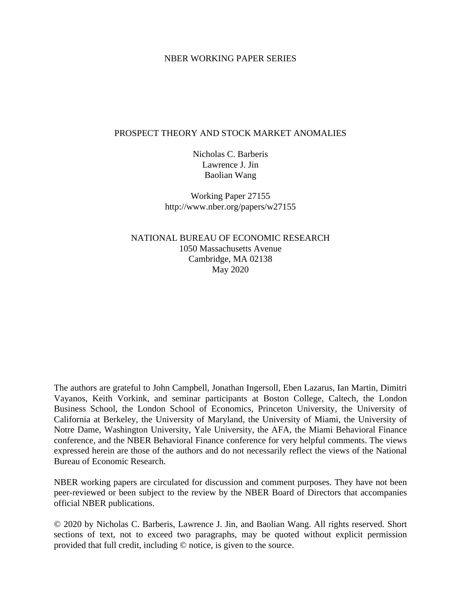### NBER WORKING PAPER SERIES

#### PROSPECT THEORY AND STOCK MARKET ANOMALIES

Nicholas C. Barberis Lawrence J. Jin Baolian Wang

Working Paper 27155 http://www.nber.org/papers/w27155

NATIONAL BUREAU OF ECONOMIC RESEARCH 1050 Massachusetts Avenue Cambridge, MA 02138 May 2020

The authors are grateful to John Campbell, Jonathan Ingersoll, Eben Lazarus, Ian Martin, Dimitri Vayanos, Keith Vorkink, and seminar participants at Boston College, Caltech, the London Business School, the London School of Economics, Princeton University, the University of California at Berkeley, the University of Maryland, the University of Miami, the University of Notre Dame, Washington University, Yale University, the AFA, the Miami Behavioral Finance conference, and the NBER Behavioral Finance conference for very helpful comments. The views expressed herein are those of the authors and do not necessarily reflect the views of the National Bureau of Economic Research.

NBER working papers are circulated for discussion and comment purposes. They have not been peer-reviewed or been subject to the review by the NBER Board of Directors that accompanies official NBER publications.

© 2020 by Nicholas C. Barberis, Lawrence J. Jin, and Baolian Wang. All rights reserved. Short sections of text, not to exceed two paragraphs, may be quoted without explicit permission provided that full credit, including © notice, is given to the source.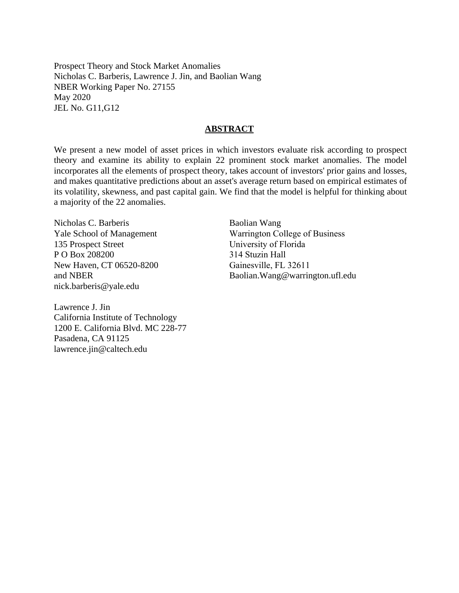Prospect Theory and Stock Market Anomalies Nicholas C. Barberis, Lawrence J. Jin, and Baolian Wang NBER Working Paper No. 27155 May 2020 JEL No. G11,G12

### **ABSTRACT**

We present a new model of asset prices in which investors evaluate risk according to prospect theory and examine its ability to explain 22 prominent stock market anomalies. The model incorporates all the elements of prospect theory, takes account of investors' prior gains and losses, and makes quantitative predictions about an asset's average return based on empirical estimates of its volatility, skewness, and past capital gain. We find that the model is helpful for thinking about a majority of the 22 anomalies.

Nicholas C. Barberis Yale School of Management 135 Prospect Street P O Box 208200 New Haven, CT 06520-8200 and NBER nick.barberis@yale.edu

Lawrence J. Jin California Institute of Technology 1200 E. California Blvd. MC 228-77 Pasadena, CA 91125 lawrence.jin@caltech.edu

Baolian Wang Warrington College of Business University of Florida 314 Stuzin Hall Gainesville, FL 32611 Baolian.Wang@warrington.ufl.edu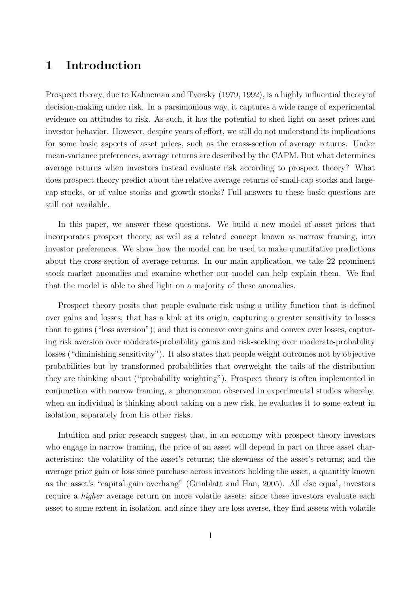# **1 Introduction**

Prospect theory, due to Kahneman and Tversky (1979, 1992), is a highly influential theory of decision-making under risk. In a parsimonious way, it captures a wide range of experimental evidence on attitudes to risk. As such, it has the potential to shed light on asset prices and investor behavior. However, despite years of effort, we still do not understand its implications for some basic aspects of asset prices, such as the cross-section of average returns. Under mean-variance preferences, average returns are described by the CAPM. But what determines average returns when investors instead evaluate risk according to prospect theory? What does prospect theory predict about the relative average returns of small-cap stocks and largecap stocks, or of value stocks and growth stocks? Full answers to these basic questions are still not available.

In this paper, we answer these questions. We build a new model of asset prices that incorporates prospect theory, as well as a related concept known as narrow framing, into investor preferences. We show how the model can be used to make quantitative predictions about the cross-section of average returns. In our main application, we take 22 prominent stock market anomalies and examine whether our model can help explain them. We find that the model is able to shed light on a majority of these anomalies.

Prospect theory posits that people evaluate risk using a utility function that is defined over gains and losses; that has a kink at its origin, capturing a greater sensitivity to losses than to gains ("loss aversion"); and that is concave over gains and convex over losses, capturing risk aversion over moderate-probability gains and risk-seeking over moderate-probability losses ("diminishing sensitivity"). It also states that people weight outcomes not by objective probabilities but by transformed probabilities that overweight the tails of the distribution they are thinking about ("probability weighting"). Prospect theory is often implemented in conjunction with narrow framing, a phenomenon observed in experimental studies whereby, when an individual is thinking about taking on a new risk, he evaluates it to some extent in isolation, separately from his other risks.

Intuition and prior research suggest that, in an economy with prospect theory investors who engage in narrow framing, the price of an asset will depend in part on three asset characteristics: the volatility of the asset's returns; the skewness of the asset's returns; and the average prior gain or loss since purchase across investors holding the asset, a quantity known as the asset's "capital gain overhang" (Grinblatt and Han, 2005). All else equal, investors require a *higher* average return on more volatile assets: since these investors evaluate each asset to some extent in isolation, and since they are loss averse, they find assets with volatile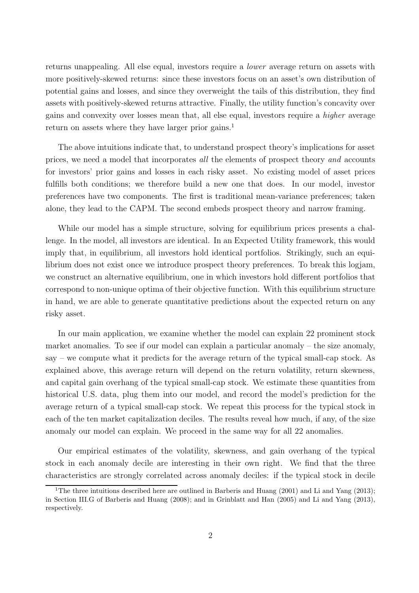returns unappealing. All else equal, investors require a *lower* average return on assets with more positively-skewed returns: since these investors focus on an asset's own distribution of potential gains and losses, and since they overweight the tails of this distribution, they find assets with positively-skewed returns attractive. Finally, the utility function's concavity over gains and convexity over losses mean that, all else equal, investors require a *higher* average return on assets where they have larger prior gains.<sup>1</sup>

The above intuitions indicate that, to understand prospect theory's implications for asset prices, we need a model that incorporates *all* the elements of prospect theory *and* accounts for investors' prior gains and losses in each risky asset. No existing model of asset prices fulfills both conditions; we therefore build a new one that does. In our model, investor preferences have two components. The first is traditional mean-variance preferences; taken alone, they lead to the CAPM. The second embeds prospect theory and narrow framing.

While our model has a simple structure, solving for equilibrium prices presents a challenge. In the model, all investors are identical. In an Expected Utility framework, this would imply that, in equilibrium, all investors hold identical portfolios. Strikingly, such an equilibrium does not exist once we introduce prospect theory preferences. To break this logjam, we construct an alternative equilibrium, one in which investors hold different portfolios that correspond to non-unique optima of their objective function. With this equilibrium structure in hand, we are able to generate quantitative predictions about the expected return on any risky asset.

In our main application, we examine whether the model can explain 22 prominent stock market anomalies. To see if our model can explain a particular anomaly – the size anomaly, say – we compute what it predicts for the average return of the typical small-cap stock. As explained above, this average return will depend on the return volatility, return skewness, and capital gain overhang of the typical small-cap stock. We estimate these quantities from historical U.S. data, plug them into our model, and record the model's prediction for the average return of a typical small-cap stock. We repeat this process for the typical stock in each of the ten market capitalization deciles. The results reveal how much, if any, of the size anomaly our model can explain. We proceed in the same way for all 22 anomalies.

Our empirical estimates of the volatility, skewness, and gain overhang of the typical stock in each anomaly decile are interesting in their own right. We find that the three characteristics are strongly correlated across anomaly deciles: if the typical stock in decile

<sup>&</sup>lt;sup>1</sup>The three intuitions described here are outlined in Barberis and Huang (2001) and Li and Yang (2013); in Section III.G of Barberis and Huang (2008); and in Grinblatt and Han (2005) and Li and Yang (2013), respectively.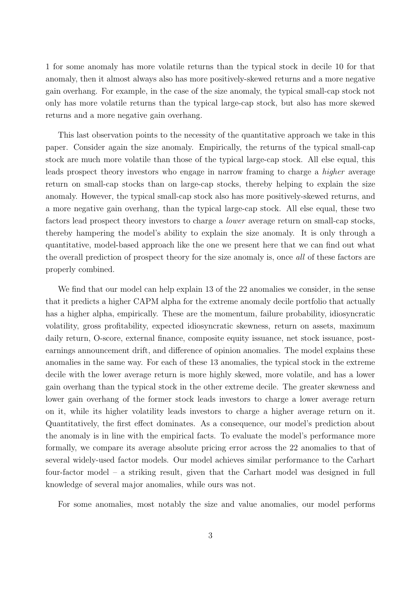1 for some anomaly has more volatile returns than the typical stock in decile 10 for that anomaly, then it almost always also has more positively-skewed returns and a more negative gain overhang. For example, in the case of the size anomaly, the typical small-cap stock not only has more volatile returns than the typical large-cap stock, but also has more skewed returns and a more negative gain overhang.

This last observation points to the necessity of the quantitative approach we take in this paper. Consider again the size anomaly. Empirically, the returns of the typical small-cap stock are much more volatile than those of the typical large-cap stock. All else equal, this leads prospect theory investors who engage in narrow framing to charge a *higher* average return on small-cap stocks than on large-cap stocks, thereby helping to explain the size anomaly. However, the typical small-cap stock also has more positively-skewed returns, and a more negative gain overhang, than the typical large-cap stock. All else equal, these two factors lead prospect theory investors to charge a *lower* average return on small-cap stocks, thereby hampering the model's ability to explain the size anomaly. It is only through a quantitative, model-based approach like the one we present here that we can find out what the overall prediction of prospect theory for the size anomaly is, once *all* of these factors are properly combined.

We find that our model can help explain 13 of the 22 anomalies we consider, in the sense that it predicts a higher CAPM alpha for the extreme anomaly decile portfolio that actually has a higher alpha, empirically. These are the momentum, failure probability, idiosyncratic volatility, gross profitability, expected idiosyncratic skewness, return on assets, maximum daily return, O-score, external finance, composite equity issuance, net stock issuance, postearnings announcement drift, and difference of opinion anomalies. The model explains these anomalies in the same way. For each of these 13 anomalies, the typical stock in the extreme decile with the lower average return is more highly skewed, more volatile, and has a lower gain overhang than the typical stock in the other extreme decile. The greater skewness and lower gain overhang of the former stock leads investors to charge a lower average return on it, while its higher volatility leads investors to charge a higher average return on it. Quantitatively, the first effect dominates. As a consequence, our model's prediction about the anomaly is in line with the empirical facts. To evaluate the model's performance more formally, we compare its average absolute pricing error across the 22 anomalies to that of several widely-used factor models. Our model achieves similar performance to the Carhart four-factor model – a striking result, given that the Carhart model was designed in full knowledge of several major anomalies, while ours was not.

For some anomalies, most notably the size and value anomalies, our model performs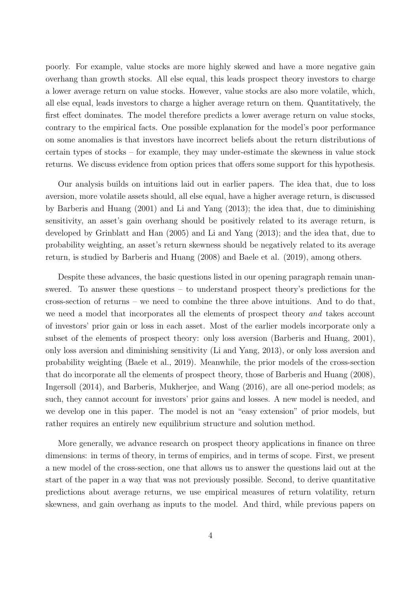poorly. For example, value stocks are more highly skewed and have a more negative gain overhang than growth stocks. All else equal, this leads prospect theory investors to charge a lower average return on value stocks. However, value stocks are also more volatile, which, all else equal, leads investors to charge a higher average return on them. Quantitatively, the first effect dominates. The model therefore predicts a lower average return on value stocks, contrary to the empirical facts. One possible explanation for the model's poor performance on some anomalies is that investors have incorrect beliefs about the return distributions of certain types of stocks – for example, they may under-estimate the skewness in value stock returns. We discuss evidence from option prices that offers some support for this hypothesis.

Our analysis builds on intuitions laid out in earlier papers. The idea that, due to loss aversion, more volatile assets should, all else equal, have a higher average return, is discussed by Barberis and Huang (2001) and Li and Yang (2013); the idea that, due to diminishing sensitivity, an asset's gain overhang should be positively related to its average return, is developed by Grinblatt and Han (2005) and Li and Yang (2013); and the idea that, due to probability weighting, an asset's return skewness should be negatively related to its average return, is studied by Barberis and Huang (2008) and Baele et al. (2019), among others.

Despite these advances, the basic questions listed in our opening paragraph remain unanswered. To answer these questions – to understand prospect theory's predictions for the cross-section of returns – we need to combine the three above intuitions. And to do that, we need a model that incorporates all the elements of prospect theory *and* takes account of investors' prior gain or loss in each asset. Most of the earlier models incorporate only a subset of the elements of prospect theory: only loss aversion (Barberis and Huang, 2001), only loss aversion and diminishing sensitivity (Li and Yang, 2013), or only loss aversion and probability weighting (Baele et al., 2019). Meanwhile, the prior models of the cross-section that do incorporate all the elements of prospect theory, those of Barberis and Huang (2008), Ingersoll (2014), and Barberis, Mukherjee, and Wang (2016), are all one-period models; as such, they cannot account for investors' prior gains and losses. A new model is needed, and we develop one in this paper. The model is not an "easy extension" of prior models, but rather requires an entirely new equilibrium structure and solution method.

More generally, we advance research on prospect theory applications in finance on three dimensions: in terms of theory, in terms of empirics, and in terms of scope. First, we present a new model of the cross-section, one that allows us to answer the questions laid out at the start of the paper in a way that was not previously possible. Second, to derive quantitative predictions about average returns, we use empirical measures of return volatility, return skewness, and gain overhang as inputs to the model. And third, while previous papers on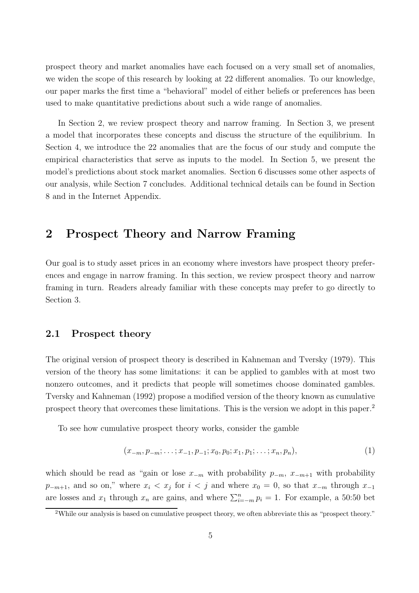prospect theory and market anomalies have each focused on a very small set of anomalies, we widen the scope of this research by looking at 22 different anomalies. To our knowledge, our paper marks the first time a "behavioral" model of either beliefs or preferences has been used to make quantitative predictions about such a wide range of anomalies.

In Section 2, we review prospect theory and narrow framing. In Section 3, we present a model that incorporates these concepts and discuss the structure of the equilibrium. In Section 4, we introduce the 22 anomalies that are the focus of our study and compute the empirical characteristics that serve as inputs to the model. In Section 5, we present the model's predictions about stock market anomalies. Section 6 discusses some other aspects of our analysis, while Section 7 concludes. Additional technical details can be found in Section 8 and in the Internet Appendix.

# **2 Prospect Theory and Narrow Framing**

Our goal is to study asset prices in an economy where investors have prospect theory preferences and engage in narrow framing. In this section, we review prospect theory and narrow framing in turn. Readers already familiar with these concepts may prefer to go directly to Section 3.

### **2.1 Prospect theory**

The original version of prospect theory is described in Kahneman and Tversky (1979). This version of the theory has some limitations: it can be applied to gambles with at most two nonzero outcomes, and it predicts that people will sometimes choose dominated gambles. Tversky and Kahneman (1992) propose a modified version of the theory known as cumulative prospect theory that overcomes these limitations. This is the version we adopt in this paper.<sup>2</sup>

To see how cumulative prospect theory works, consider the gamble

$$
(x_{-m}, p_{-m}; \ldots; x_{-1}, p_{-1}; x_0, p_0; x_1, p_1; \ldots; x_n, p_n), \qquad (1)
$$

which should be read as "gain or lose  $x_{-m}$  with probability  $p_{-m}$ ,  $x_{-m+1}$  with probability  $p_{-m+1}$ , and so on," where  $x_i < x_j$  for  $i < j$  and where  $x_0 = 0$ , so that  $x_{-m}$  through  $x_{-1}$ are losses and  $x_1$  through  $x_n$  are gains, and where  $\sum_{i=-m}^{n} p_i = 1$ . For example, a 50:50 bet

<sup>2</sup>While our analysis is based on cumulative prospect theory, we often abbreviate this as "prospect theory."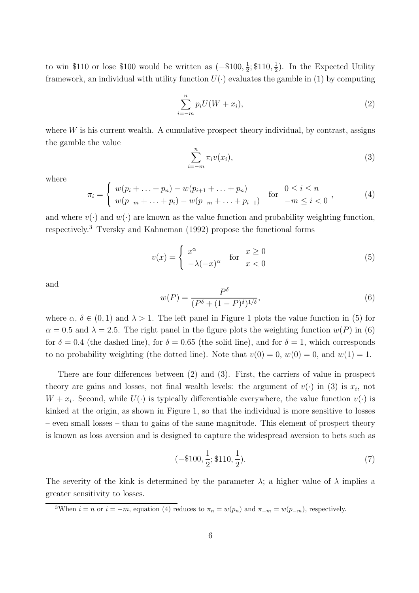to win \$110 or lose \$100 would be written as  $(-\$100, \frac{1}{2}; \$110, \frac{1}{2})$ . In the Expected Utility framework, an individual with utility function  $U(\cdot)$  evaluates the gamble in (1) by computing

$$
\sum_{i=-m}^{n} p_i U(W+x_i),\tag{2}
$$

where  $W$  is his current wealth. A cumulative prospect theory individual, by contrast, assigns the gamble the value

$$
\sum_{i=-m}^{n} \pi_i v(x_i),\tag{3}
$$

where

$$
\pi_i = \begin{cases} w(p_i + \dots + p_n) - w(p_{i+1} + \dots + p_n) & \text{for } 0 \le i \le n \\ w(p_{-m} + \dots + p_i) - w(p_{-m} + \dots + p_{i-1}) & \text{for } -m \le i < 0 \end{cases},
$$
\n(4)

and where  $v(\cdot)$  and  $w(\cdot)$  are known as the value function and probability weighting function, respectively.<sup>3</sup> Tversky and Kahneman (1992) propose the functional forms

$$
v(x) = \begin{cases} x^{\alpha} & \text{for } x \ge 0\\ -\lambda (-x)^{\alpha} & x < 0 \end{cases}
$$
 (5)

and

$$
w(P) = \frac{P^{\delta}}{(P^{\delta} + (1 - P)^{\delta})^{1/\delta}},\tag{6}
$$

where  $\alpha, \delta \in (0,1)$  and  $\lambda > 1$ . The left panel in Figure 1 plots the value function in (5) for  $\alpha = 0.5$  and  $\lambda = 2.5$ . The right panel in the figure plots the weighting function  $w(P)$  in (6) for  $\delta = 0.4$  (the dashed line), for  $\delta = 0.65$  (the solid line), and for  $\delta = 1$ , which corresponds to no probability weighting (the dotted line). Note that  $v(0) = 0$ ,  $w(0) = 0$ , and  $w(1) = 1$ .

There are four differences between (2) and (3). First, the carriers of value in prospect theory are gains and losses, not final wealth levels: the argument of  $v(\cdot)$  in (3) is  $x_i$ , not  $W + x_i$ . Second, while  $U(\cdot)$  is typically differentiable everywhere, the value function  $v(\cdot)$  is kinked at the origin, as shown in Figure 1, so that the individual is more sensitive to losses – even small losses – than to gains of the same magnitude. This element of prospect theory is known as loss aversion and is designed to capture the widespread aversion to bets such as

$$
(-\$100, \frac{1}{2}; \$110, \frac{1}{2}).
$$
\n<sup>(7)</sup>

The severity of the kink is determined by the parameter  $\lambda$ ; a higher value of  $\lambda$  implies a greater sensitivity to losses.

<sup>3</sup>When  $i = n$  or  $i = -m$ , equation (4) reduces to  $\pi_n = w(p_n)$  and  $\pi_{-m} = w(p_{-m})$ , respectively.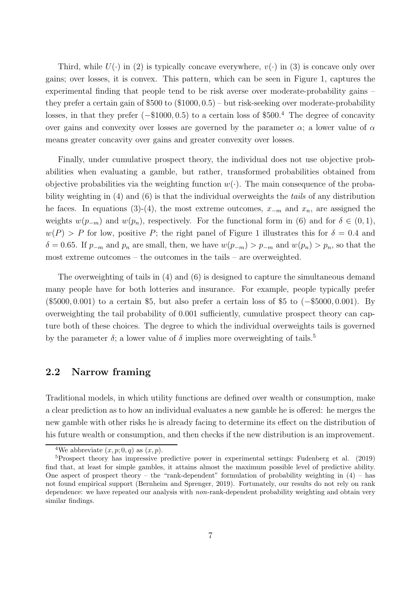Third, while  $U(\cdot)$  in (2) is typically concave everywhere,  $v(\cdot)$  in (3) is concave only over gains; over losses, it is convex. This pattern, which can be seen in Figure 1, captures the experimental finding that people tend to be risk averse over moderate-probability gains – they prefer a certain gain of  $$500$  to  $(\$1000, 0.5)$  – but risk-seeking over moderate-probability losses, in that they prefer (−\$1000, 0.5) to a certain loss of \$500.<sup>4</sup> The degree of concavity over gains and convexity over losses are governed by the parameter  $\alpha$ ; a lower value of  $\alpha$ means greater concavity over gains and greater convexity over losses.

Finally, under cumulative prospect theory, the individual does not use objective probabilities when evaluating a gamble, but rather, transformed probabilities obtained from objective probabilities via the weighting function  $w(\cdot)$ . The main consequence of the probability weighting in (4) and (6) is that the individual overweights the *tails* of any distribution he faces. In equations (3)-(4), the most extreme outcomes,  $x_{-m}$  and  $x_n$ , are assigned the weights  $w(p_{-m})$  and  $w(p_n)$ , respectively. For the functional form in (6) and for  $\delta \in (0,1)$ ,  $w(P) > P$  for low, positive P; the right panel of Figure 1 illustrates this for  $\delta = 0.4$  and  $\delta = 0.65$ . If  $p_{-m}$  and  $p_n$  are small, then, we have  $w(p_{-m}) > p_{-m}$  and  $w(p_n) > p_n$ , so that the most extreme outcomes – the outcomes in the tails – are overweighted.

The overweighting of tails in (4) and (6) is designed to capture the simultaneous demand many people have for both lotteries and insurance. For example, people typically prefer (\$5000, 0.001) to a certain \$5, but also prefer a certain loss of \$5 to (−\$5000, 0.001). By overweighting the tail probability of 0.001 sufficiently, cumulative prospect theory can capture both of these choices. The degree to which the individual overweights tails is governed by the parameter  $\delta$ ; a lower value of  $\delta$  implies more overweighting of tails.<sup>5</sup>

### **2.2 Narrow framing**

Traditional models, in which utility functions are defined over wealth or consumption, make a clear prediction as to how an individual evaluates a new gamble he is offered: he merges the new gamble with other risks he is already facing to determine its effect on the distribution of his future wealth or consumption, and then checks if the new distribution is an improvement.

<sup>&</sup>lt;sup>4</sup>We abbreviate  $(x, p; 0, q)$  as  $(x, p)$ .

<sup>5</sup>Prospect theory has impressive predictive power in experimental settings: Fudenberg et al. (2019) find that, at least for simple gambles, it attains almost the maximum possible level of predictive ability. One aspect of prospect theory – the "rank-dependent" formulation of probability weighting in  $(4)$  – has not found empirical support (Bernheim and Sprenger, 2019). Fortunately, our results do not rely on rank dependence: we have repeated our analysis with *non*-rank-dependent probability weighting and obtain very similar findings.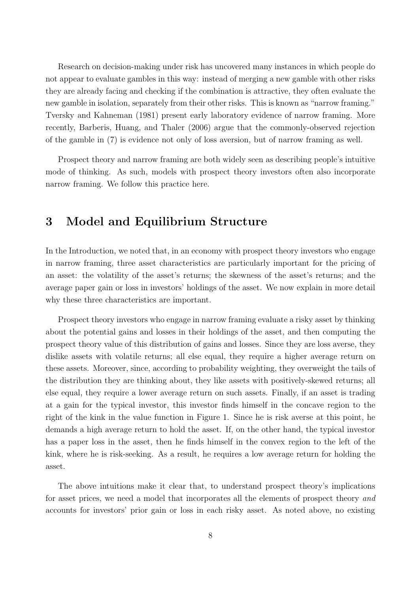Research on decision-making under risk has uncovered many instances in which people do not appear to evaluate gambles in this way: instead of merging a new gamble with other risks they are already facing and checking if the combination is attractive, they often evaluate the new gamble in isolation, separately from their other risks. This is known as "narrow framing." Tversky and Kahneman (1981) present early laboratory evidence of narrow framing. More recently, Barberis, Huang, and Thaler (2006) argue that the commonly-observed rejection of the gamble in (7) is evidence not only of loss aversion, but of narrow framing as well.

Prospect theory and narrow framing are both widely seen as describing people's intuitive mode of thinking. As such, models with prospect theory investors often also incorporate narrow framing. We follow this practice here.

## **3 Model and Equilibrium Structure**

In the Introduction, we noted that, in an economy with prospect theory investors who engage in narrow framing, three asset characteristics are particularly important for the pricing of an asset: the volatility of the asset's returns; the skewness of the asset's returns; and the average paper gain or loss in investors' holdings of the asset. We now explain in more detail why these three characteristics are important.

Prospect theory investors who engage in narrow framing evaluate a risky asset by thinking about the potential gains and losses in their holdings of the asset, and then computing the prospect theory value of this distribution of gains and losses. Since they are loss averse, they dislike assets with volatile returns; all else equal, they require a higher average return on these assets. Moreover, since, according to probability weighting, they overweight the tails of the distribution they are thinking about, they like assets with positively-skewed returns; all else equal, they require a lower average return on such assets. Finally, if an asset is trading at a gain for the typical investor, this investor finds himself in the concave region to the right of the kink in the value function in Figure 1. Since he is risk averse at this point, he demands a high average return to hold the asset. If, on the other hand, the typical investor has a paper loss in the asset, then he finds himself in the convex region to the left of the kink, where he is risk-seeking. As a result, he requires a low average return for holding the asset.

The above intuitions make it clear that, to understand prospect theory's implications for asset prices, we need a model that incorporates all the elements of prospect theory *and* accounts for investors' prior gain or loss in each risky asset. As noted above, no existing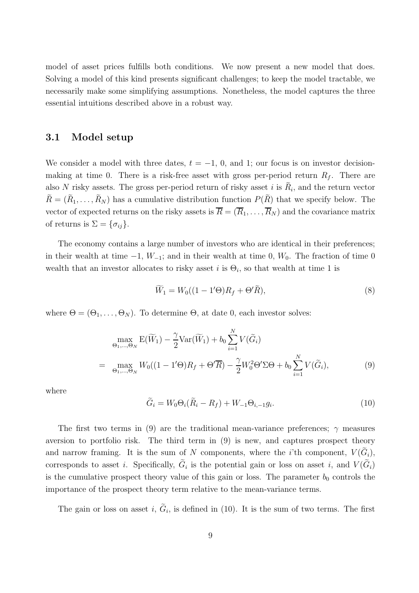model of asset prices fulfills both conditions. We now present a new model that does. Solving a model of this kind presents significant challenges; to keep the model tractable, we necessarily make some simplifying assumptions. Nonetheless, the model captures the three essential intuitions described above in a robust way.

## **3.1 Model setup**

We consider a model with three dates,  $t = -1$ , 0, and 1; our focus is on investor decisionmaking at time 0. There is a risk-free asset with gross per-period return  $R_f$ . There are also N risky assets. The gross per-period return of risky asset i is  $R_i$ , and the return vector  $\tilde{R} = (\tilde{R}_1, \ldots, \tilde{R}_N)$  has a cumulative distribution function  $P(\tilde{R})$  that we specify below. The vector of expected returns on the risky assets is  $\overline{R} = (\overline{R}_1, \ldots, \overline{R}_N)$  and the covariance matrix of returns is  $\Sigma = {\sigma_{ij}}$ .

The economy contains a large number of investors who are identical in their preferences; in their wealth at time  $-1$ ,  $W_{-1}$ ; and in their wealth at time 0,  $W_0$ . The fraction of time 0 wealth that an investor allocates to risky asset i is  $\Theta_i$ , so that wealth at time 1 is

$$
\widetilde{W}_1 = W_0((1 - 1' \Theta)R_f + \Theta' \widetilde{R}),\tag{8}
$$

where  $\Theta = (\Theta_1, \ldots, \Theta_N)$ . To determine  $\Theta$ , at date 0, each investor solves:

$$
\max_{\Theta_1,\dots,\Theta_N} E(\widetilde{W}_1) - \frac{\gamma}{2} \text{Var}(\widetilde{W}_1) + b_0 \sum_{i=1}^N V(\widetilde{G}_i)
$$
\n
$$
= \max_{\Theta_1,\dots,\Theta_N} W_0((1 - 1'\Theta)R_f + \Theta'\overline{R}) - \frac{\gamma}{2} W_0^2 \Theta' \Sigma \Theta + b_0 \sum_{i=1}^N V(\widetilde{G}_i), \tag{9}
$$

where

$$
\widetilde{G}_i = W_0 \Theta_i (\widetilde{R}_i - R_f) + W_{-1} \Theta_{i,-1} g_i.
$$
\n(10)

The first two terms in (9) are the traditional mean-variance preferences;  $\gamma$  measures aversion to portfolio risk. The third term in (9) is new, and captures prospect theory and narrow framing. It is the sum of N components, where the *i*'th component,  $V(\tilde{G}_i)$ , corresponds to asset *i*. Specifically,  $\tilde{G}_i$  is the potential gain or loss on asset *i*, and  $V(\tilde{G}_i)$ is the cumulative prospect theory value of this gain or loss. The parameter  $b_0$  controls the importance of the prospect theory term relative to the mean-variance terms.

The gain or loss on asset i,  $\tilde{G}_i$ , is defined in (10). It is the sum of two terms. The first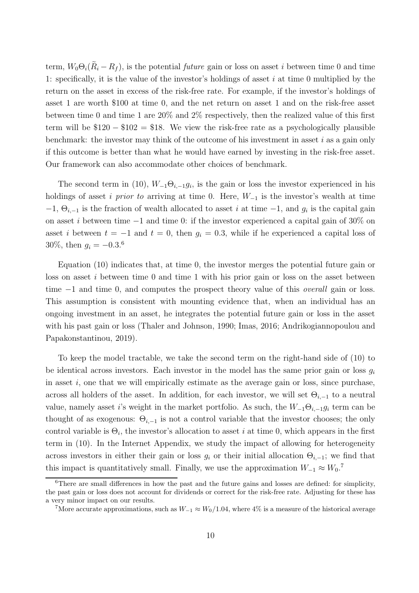term,  $W_0\Theta_i(R_i - R_f)$ , is the potential *future* gain or loss on asset *i* between time 0 and time 1: specifically, it is the value of the investor's holdings of asset  $i$  at time 0 multiplied by the return on the asset in excess of the risk-free rate. For example, if the investor's holdings of asset 1 are worth \$100 at time 0, and the net return on asset 1 and on the risk-free asset between time 0 and time 1 are 20% and 2% respectively, then the realized value of this first term will be  $$120 - $102 = $18$ . We view the risk-free rate as a psychologically plausible benchmark: the investor may think of the outcome of his investment in asset  $i$  as a gain only if this outcome is better than what he would have earned by investing in the risk-free asset. Our framework can also accommodate other choices of benchmark.

The second term in (10),  $W_{-1}\Theta_{i,-1}g_i$ , is the gain or loss the investor experienced in his holdings of asset i *prior to* arriving at time 0. Here, W−<sup>1</sup> is the investor's wealth at time  $-1, \Theta_{i,-1}$  is the fraction of wealth allocated to asset i at time  $-1$ , and  $g_i$  is the capital gain on asset i between time  $-1$  and time 0: if the investor experienced a capital gain of 30% on asset i between  $t = -1$  and  $t = 0$ , then  $g_i = 0.3$ , while if he experienced a capital loss of 30\%, then  $g_i = -0.3$ .<sup>6</sup>

Equation (10) indicates that, at time 0, the investor merges the potential future gain or loss on asset i between time 0 and time 1 with his prior gain or loss on the asset between time −1 and time 0, and computes the prospect theory value of this *overall* gain or loss. This assumption is consistent with mounting evidence that, when an individual has an ongoing investment in an asset, he integrates the potential future gain or loss in the asset with his past gain or loss (Thaler and Johnson, 1990; Imas, 2016; Andrikogiannopoulou and Papakonstantinou, 2019).

To keep the model tractable, we take the second term on the right-hand side of (10) to be identical across investors. Each investor in the model has the same prior gain or loss  $q_i$ in asset i, one that we will empirically estimate as the average gain or loss, since purchase, across all holders of the asset. In addition, for each investor, we will set  $\Theta_{i,-1}$  to a neutral value, namely asset i's weight in the market portfolio. As such, the  $W_{-1}\Theta_{i,-1}g_i$  term can be thought of as exogenous:  $\Theta_{i,-1}$  is not a control variable that the investor chooses; the only control variable is  $\Theta_i$ , the investor's allocation to asset i at time 0, which appears in the first term in (10). In the Internet Appendix, we study the impact of allowing for heterogeneity across investors in either their gain or loss  $g_i$  or their initial allocation  $\Theta_{i,-1}$ ; we find that this impact is quantitatively small. Finally, we use the approximation  $W_{-1} \approx W_0$ .<sup>7</sup>

 $6$ There are small differences in how the past and the future gains and losses are defined: for simplicity, the past gain or loss does not account for dividends or correct for the risk-free rate. Adjusting for these has a very minor impact on our results.

<sup>&</sup>lt;sup>7</sup>More accurate approximations, such as  $W_{-1} \approx W_0/1.04$ , where 4% is a measure of the historical average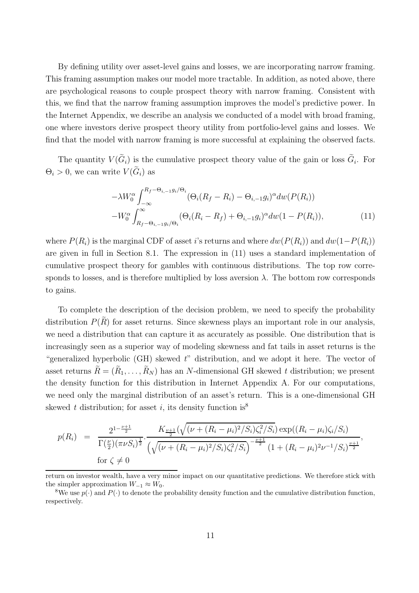By defining utility over asset-level gains and losses, we are incorporating narrow framing. This framing assumption makes our model more tractable. In addition, as noted above, there are psychological reasons to couple prospect theory with narrow framing. Consistent with this, we find that the narrow framing assumption improves the model's predictive power. In the Internet Appendix, we describe an analysis we conducted of a model with broad framing, one where investors derive prospect theory utility from portfolio-level gains and losses. We find that the model with narrow framing is more successful at explaining the observed facts.

The quantity  $V(\tilde{G}_i)$  is the cumulative prospect theory value of the gain or loss  $\tilde{G}_i$ . For  $\Theta_i > 0$ , we can write  $V(\widetilde{G}_i)$  as

$$
-\lambda W_0^{\alpha} \int_{-\infty}^{R_f-\Theta_{i,-1}g_i/\Theta_i} (\Theta_i (R_f - R_i) - \Theta_{i,-1}g_i)^{\alpha} dw (P(R_i))
$$

$$
-W_0^{\alpha} \int_{R_f-\Theta_{i,-1}g_i/\Theta_i}^{\infty} (\Theta_i (R_i - R_f) + \Theta_{i,-1}g_i)^{\alpha} dw (1 - P(R_i)), \tag{11}
$$

where  $P(R_i)$  is the marginal CDF of asset i's returns and where  $dw(P(R_i))$  and  $dw(1-P(R_i))$ are given in full in Section 8.1. The expression in (11) uses a standard implementation of cumulative prospect theory for gambles with continuous distributions. The top row corresponds to losses, and is therefore multiplied by loss aversion  $\lambda$ . The bottom row corresponds to gains.

To complete the description of the decision problem, we need to specify the probability distribution  $P(\tilde{R})$  for asset returns. Since skewness plays an important role in our analysis, we need a distribution that can capture it as accurately as possible. One distribution that is increasingly seen as a superior way of modeling skewness and fat tails in asset returns is the "generalized hyperbolic (GH) skewed *t*" distribution, and we adopt it here. The vector of asset returns  $\tilde{R} = (\tilde{R}_1, \ldots, \tilde{R}_N)$  has an N-dimensional GH skewed t distribution; we present the density function for this distribution in Internet Appendix A. For our computations, we need only the marginal distribution of an asset's return. This is a one-dimensional GH skewed *t* distribution; for asset *i*, its density function is<sup>8</sup>

$$
p(R_i) = \frac{2^{1-\frac{\nu+1}{2}}}{\Gamma(\frac{\nu}{2})(\pi\nu S_i)^{\frac{1}{2}}} \cdot \frac{K_{\frac{\nu+1}{2}}(\sqrt{(\nu+(R_i-\mu_i)^2/S_i)\zeta_i^2/S_i})\exp((R_i-\mu_i)\zeta_i/S_i)}{(\sqrt{(\nu+(R_i-\mu_i)^2/S_i)\zeta_i^2/S_i})^{-\frac{\nu+1}{2}}}(1+(R_i-\mu_i)^2\nu^{-1}/S_i)^{\frac{\nu+1}{2}}},
$$
for  $\zeta \neq 0$ 

return on investor wealth, have a very minor impact on our quantitative predictions. We therefore stick with the simpler approximation  $W_{-1} \approx W_0$ .<br><sup>8</sup>We use  $p(\cdot)$  and  $P(\cdot)$  to denote the probability density function and the cumulative distribution function,

respectively.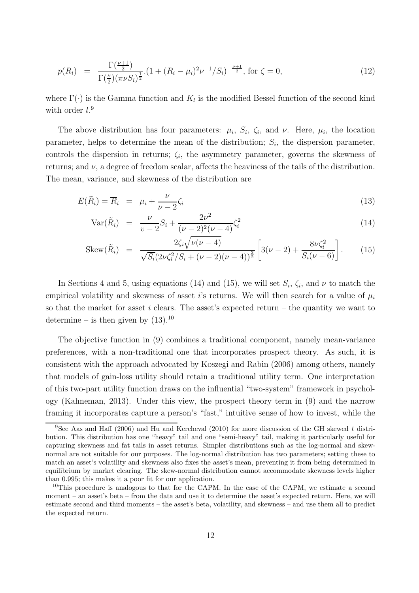$$
p(R_i) = \frac{\Gamma(\frac{\nu+1}{2})}{\Gamma(\frac{\nu}{2})(\pi\nu S_i)^{\frac{1}{2}}} \cdot (1 + (R_i - \mu_i)^2 \nu^{-1} / S_i)^{-\frac{\nu+1}{2}}, \text{ for } \zeta = 0,
$$
\n(12)

where  $\Gamma(\cdot)$  is the Gamma function and  $K_l$  is the modified Bessel function of the second kind with order  $l$ <sup>9</sup>

The above distribution has four parameters:  $\mu_i$ ,  $S_i$ ,  $\zeta_i$ , and  $\nu$ . Here,  $\mu_i$ , the location parameter, helps to determine the mean of the distribution;  $S_i$ , the dispersion parameter, controls the dispersion in returns;  $\zeta_i$ , the asymmetry parameter, governs the skewness of returns; and  $\nu$ , a degree of freedom scalar, affects the heaviness of the tails of the distribution. The mean, variance, and skewness of the distribution are

$$
E(\tilde{R}_i) = \overline{R}_i = \mu_i + \frac{\nu}{\nu - 2}\zeta_i
$$
\n(13)

$$
Var(\tilde{R}_i) = \frac{\nu}{\nu - 2} S_i + \frac{2\nu^2}{(\nu - 2)^2 (\nu - 4)} \zeta_i^2
$$
\n(14)

$$
\text{Skew}(\tilde{R}_i) = \frac{2\zeta_i\sqrt{\nu(\nu-4)}}{\sqrt{S_i}(2\nu\zeta_i^2/S_i + (\nu-2)(\nu-4))^{\frac{3}{2}}} \left[3(\nu-2) + \frac{8\nu\zeta_i^2}{S_i(\nu-6)}\right].\tag{15}
$$

In Sections 4 and 5, using equations (14) and (15), we will set  $S_i$ ,  $\zeta_i$ , and  $\nu$  to match the empirical volatility and skewness of asset i's returns. We will then search for a value of  $\mu_i$ so that the market for asset i clears. The asset's expected return – the quantity we want to determine – is then given by  $(13).^{10}$ 

The objective function in (9) combines a traditional component, namely mean-variance preferences, with a non-traditional one that incorporates prospect theory. As such, it is consistent with the approach advocated by Koszegi and Rabin (2006) among others, namely that models of gain-loss utility should retain a traditional utility term. One interpretation of this two-part utility function draws on the influential "two-system" framework in psychology (Kahneman, 2013). Under this view, the prospect theory term in (9) and the narrow framing it incorporates capture a person's "fast," intuitive sense of how to invest, while the

<sup>9</sup>See Aas and Haff (2006) and Hu and Kercheval (2010) for more discussion of the GH skewed *t* distribution. This distribution has one "heavy" tail and one "semi-heavy" tail, making it particularly useful for capturing skewness and fat tails in asset returns. Simpler distributions such as the log-normal and skewnormal are not suitable for our purposes. The log-normal distribution has two parameters; setting these to match an asset's volatility and skewness also fixes the asset's mean, preventing it from being determined in equilibrium by market clearing. The skew-normal distribution cannot accommodate skewness levels higher than 0.995; this makes it a poor fit for our application.

<sup>&</sup>lt;sup>10</sup>This procedure is analogous to that for the CAPM. In the case of the CAPM, we estimate a second moment – an asset's beta – from the data and use it to determine the asset's expected return. Here, we will estimate second and third moments – the asset's beta, volatility, and skewness – and use them all to predict the expected return.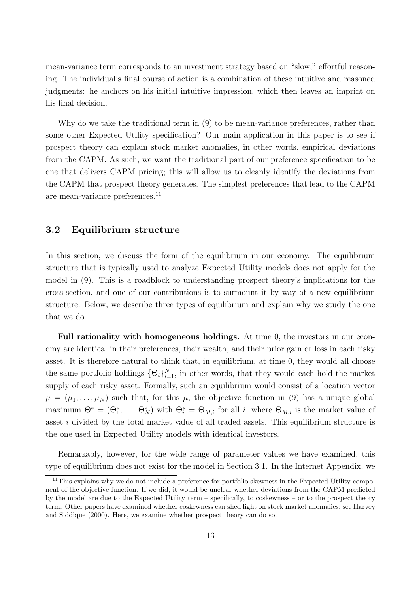mean-variance term corresponds to an investment strategy based on "slow," effortful reasoning. The individual's final course of action is a combination of these intuitive and reasoned judgments: he anchors on his initial intuitive impression, which then leaves an imprint on his final decision.

Why do we take the traditional term in (9) to be mean-variance preferences, rather than some other Expected Utility specification? Our main application in this paper is to see if prospect theory can explain stock market anomalies, in other words, empirical deviations from the CAPM. As such, we want the traditional part of our preference specification to be one that delivers CAPM pricing; this will allow us to cleanly identify the deviations from the CAPM that prospect theory generates. The simplest preferences that lead to the CAPM are mean-variance preferences.<sup>11</sup>

### **3.2 Equilibrium structure**

In this section, we discuss the form of the equilibrium in our economy. The equilibrium structure that is typically used to analyze Expected Utility models does not apply for the model in (9). This is a roadblock to understanding prospect theory's implications for the cross-section, and one of our contributions is to surmount it by way of a new equilibrium structure. Below, we describe three types of equilibrium and explain why we study the one that we do.

**Full rationality with homogeneous holdings.** At time 0, the investors in our economy are identical in their preferences, their wealth, and their prior gain or loss in each risky asset. It is therefore natural to think that, in equilibrium, at time 0, they would all choose the same portfolio holdings  $\{\Theta_i\}_{i=1}^N$ , in other words, that they would each hold the market supply of each risky asset. Formally, such an equilibrium would consist of a location vector  $\mu = (\mu_1, \ldots, \mu_N)$  such that, for this  $\mu$ , the objective function in (9) has a unique global maximum  $\Theta^* = (\Theta_1^*, \ldots, \Theta_N^*)$  with  $\Theta_i^* = \Theta_{M,i}$  for all *i*, where  $\Theta_{M,i}$  is the market value of asset i divided by the total market value of all traded assets. This equilibrium structure is the one used in Expected Utility models with identical investors.

Remarkably, however, for the wide range of parameter values we have examined, this type of equilibrium does not exist for the model in Section 3.1. In the Internet Appendix, we

<sup>&</sup>lt;sup>11</sup>This explains why we do not include a preference for portfolio skewness in the Expected Utility component of the objective function. If we did, it would be unclear whether deviations from the CAPM predicted by the model are due to the Expected Utility term – specifically, to coskewness – or to the prospect theory term. Other papers have examined whether coskewness can shed light on stock market anomalies; see Harvey and Siddique (2000). Here, we examine whether prospect theory can do so.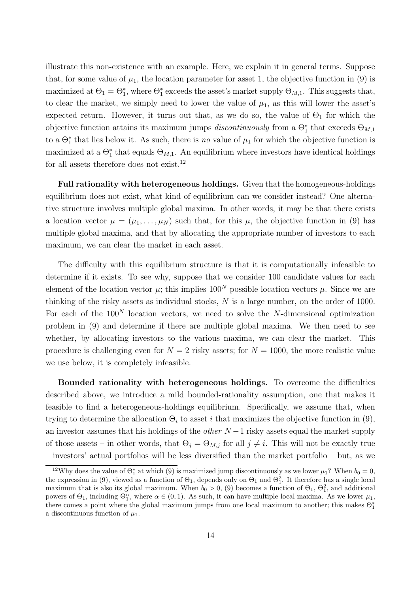illustrate this non-existence with an example. Here, we explain it in general terms. Suppose that, for some value of  $\mu_1$ , the location parameter for asset 1, the objective function in (9) is maximized at  $\Theta_1 = \Theta_1^*$ , where  $\Theta_1^*$  exceeds the asset's market supply  $\Theta_{M,1}$ . This suggests that, to clear the market, we simply need to lower the value of  $\mu_1$ , as this will lower the asset's expected return. However, it turns out that, as we do so, the value of  $\Theta_1$  for which the objective function attains its maximum jumps *discontinuously* from a  $\Theta_1^*$  that exceeds  $\Theta_{M,1}$ to a  $\Theta_1^*$  that lies below it. As such, there is *no* value of  $\mu_1$  for which the objective function is maximized at a  $\Theta_1^*$  that equals  $\Theta_{M,1}$ . An equilibrium where investors have identical holdings for all assets therefore does not exist.<sup>12</sup>

**Full rationality with heterogeneous holdings.** Given that the homogeneous-holdings equilibrium does not exist, what kind of equilibrium can we consider instead? One alternative structure involves multiple global maxima. In other words, it may be that there exists a location vector  $\mu = (\mu_1, \dots, \mu_N)$  such that, for this  $\mu$ , the objective function in (9) has multiple global maxima, and that by allocating the appropriate number of investors to each maximum, we can clear the market in each asset.

The difficulty with this equilibrium structure is that it is computationally infeasible to determine if it exists. To see why, suppose that we consider 100 candidate values for each element of the location vector  $\mu$ ; this implies  $100^N$  possible location vectors  $\mu$ . Since we are thinking of the risky assets as individual stocks,  $N$  is a large number, on the order of 1000. For each of the  $100<sup>N</sup>$  location vectors, we need to solve the N-dimensional optimization problem in (9) and determine if there are multiple global maxima. We then need to see whether, by allocating investors to the various maxima, we can clear the market. This procedure is challenging even for  $N = 2$  risky assets; for  $N = 1000$ , the more realistic value we use below, it is completely infeasible.

**Bounded rationality with heterogeneous holdings.** To overcome the difficulties described above, we introduce a mild bounded-rationality assumption, one that makes it feasible to find a heterogeneous-holdings equilibrium. Specifically, we assume that, when trying to determine the allocation  $\Theta_i$  to asset *i* that maximizes the objective function in (9), an investor assumes that his holdings of the *other* N −1 risky assets equal the market supply of those assets – in other words, that  $\Theta_i = \Theta_{M,i}$  for all  $j \neq i$ . This will not be exactly true – investors' actual portfolios will be less diversified than the market portfolio – but, as we

<sup>&</sup>lt;sup>12</sup>Why does the value of  $\Theta_1^*$  at which (9) is maximized jump discontinuously as we lower  $\mu_1$ ? When  $b_0 = 0$ , a convergence in (9) viewed as a function of  $\Theta$ , denends only on  $\Theta_1$  and  $\Theta_1^2$ . It therefore has the expression in (9), viewed as a function of  $\Theta_1$ , depends only on  $\Theta_1$  and  $\Theta_1^2$ . It therefore has a single local maximum that is also its global maximum. When  $b_0 > 0$ , (9) becomes a function of  $\Theta_1$ ,  $\Theta_1^2$ , and additional<br>powers of  $\Theta_1$ , including  $\Theta^{\alpha}$ , where  $\alpha \in (0, 1)$ . As such it can have multiple local maxima. As we powers of  $\Theta_1$ , including  $\Theta_1^{\alpha}$ , where  $\alpha \in (0,1)$ . As such, it can have multiple local maxima. As we lower  $\mu_1$ , there comes a point where the global maximum jumps from one local maximum to another this makes there comes a point where the global maximum jumps from one local maximum to another; this makes  $\Theta_1^*$ a discontinuous function of  $\mu_1$ .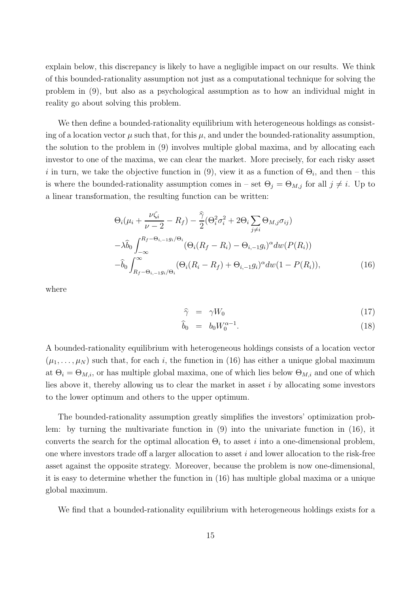explain below, this discrepancy is likely to have a negligible impact on our results. We think of this bounded-rationality assumption not just as a computational technique for solving the problem in (9), but also as a psychological assumption as to how an individual might in reality go about solving this problem.

We then define a bounded-rationality equilibrium with heterogeneous holdings as consisting of a location vector  $\mu$  such that, for this  $\mu$ , and under the bounded-rationality assumption, the solution to the problem in (9) involves multiple global maxima, and by allocating each investor to one of the maxima, we can clear the market. More precisely, for each risky asset i in turn, we take the objective function in (9), view it as a function of  $\Theta_i$ , and then – this is where the bounded-rationality assumption comes in – set  $\Theta_j = \Theta_{M,j}$  for all  $j \neq i$ . Up to a linear transformation, the resulting function can be written:

$$
\Theta_i(\mu_i + \frac{\nu \zeta_i}{\nu - 2} - R_f) - \frac{\widehat{\gamma}}{2} (\Theta_i^2 \sigma_i^2 + 2\Theta_i \sum_{j \neq i} \Theta_{M,j} \sigma_{ij})
$$
  

$$
-\lambda \widehat{b}_0 \int_{-\infty}^{R_f - \Theta_{i,-1} g_i/\Theta_i} (\Theta_i (R_f - R_i) - \Theta_{i,-1} g_i)^{\alpha} dw (P(R_i))
$$
  

$$
-\widehat{b}_0 \int_{R_f - \Theta_{i,-1} g_i/\Theta_i}^{\infty} (\Theta_i (R_i - R_f) + \Theta_{i,-1} g_i)^{\alpha} dw (1 - P(R_i)), \tag{16}
$$

where

$$
\hat{\gamma} = \gamma W_0 \tag{17}
$$

$$
\widehat{b}_0 = b_0 W_0^{\alpha - 1}.
$$
\n
$$
(18)
$$

A bounded-rationality equilibrium with heterogeneous holdings consists of a location vector  $(\mu_1,\ldots,\mu_N)$  such that, for each i, the function in (16) has either a unique global maximum at  $\Theta_i = \Theta_{M,i}$ , or has multiple global maxima, one of which lies below  $\Theta_{M,i}$  and one of which lies above it, thereby allowing us to clear the market in asset  $i$  by allocating some investors to the lower optimum and others to the upper optimum.

The bounded-rationality assumption greatly simplifies the investors' optimization problem: by turning the multivariate function in (9) into the univariate function in (16), it converts the search for the optimal allocation  $\Theta_i$  to asset i into a one-dimensional problem, one where investors trade off a larger allocation to asset  $i$  and lower allocation to the risk-free asset against the opposite strategy. Moreover, because the problem is now one-dimensional, it is easy to determine whether the function in (16) has multiple global maxima or a unique global maximum.

We find that a bounded-rationality equilibrium with heterogeneous holdings exists for a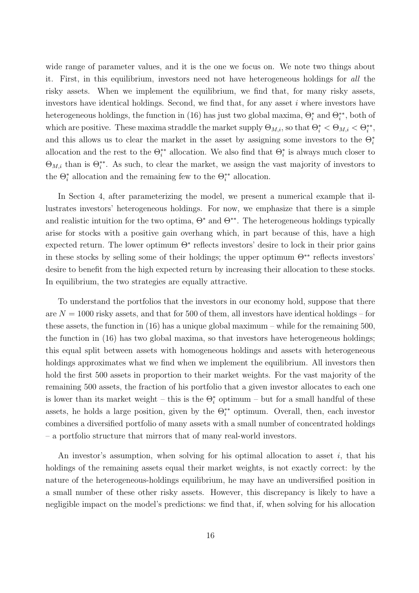wide range of parameter values, and it is the one we focus on. We note two things about it. First, in this equilibrium, investors need not have heterogeneous holdings for *all* the risky assets. When we implement the equilibrium, we find that, for many risky assets, investors have identical holdings. Second, we find that, for any asset  $i$  where investors have heterogeneous holdings, the function in (16) has just two global maxima,  $\Theta_i^*$  and  $\Theta_i^{**}$ , both of which are positive. These maxima straddle the market supply  $\Theta_{M,i}$ , so that  $\Theta_i^* < \Theta_{M,i} < \Theta_i^{**}$ , and this allows us to clear the market in the asset by assigning some investors to the  $\Theta_i^*$ allocation and the rest to the  $\Theta_i^{**}$  allocation. We also find that  $\Theta_i^*$  is always much closer to  $\Theta_{M,i}$  than is  $\Theta_i^{**}$ . As such, to clear the market, we assign the vast majority of investors to the  $\Theta_i^*$  allocation and the remaining few to the  $\Theta_i^{**}$  allocation.

In Section 4, after parameterizing the model, we present a numerical example that illustrates investors' heterogeneous holdings. For now, we emphasize that there is a simple and realistic intuition for the two optima,  $\Theta^*$  and  $\Theta^{**}$ . The heterogeneous holdings typically arise for stocks with a positive gain overhang which, in part because of this, have a high expected return. The lower optimum  $\Theta^*$  reflects investors' desire to lock in their prior gains in these stocks by selling some of their holdings; the upper optimum  $\Theta^{**}$  reflects investors' desire to benefit from the high expected return by increasing their allocation to these stocks. In equilibrium, the two strategies are equally attractive.

To understand the portfolios that the investors in our economy hold, suppose that there are  $N = 1000$  risky assets, and that for 500 of them, all investors have identical holdings – for these assets, the function in (16) has a unique global maximum – while for the remaining 500, the function in (16) has two global maxima, so that investors have heterogeneous holdings; this equal split between assets with homogeneous holdings and assets with heterogeneous holdings approximates what we find when we implement the equilibrium. All investors then hold the first 500 assets in proportion to their market weights. For the vast majority of the remaining 500 assets, the fraction of his portfolio that a given investor allocates to each one is lower than its market weight – this is the  $\Theta_i^*$  optimum – but for a small handful of these assets, he holds a large position, given by the  $\Theta_i^{**}$  optimum. Overall, then, each investor combines a diversified portfolio of many assets with a small number of concentrated holdings – a portfolio structure that mirrors that of many real-world investors.

An investor's assumption, when solving for his optimal allocation to asset i, that his holdings of the remaining assets equal their market weights, is not exactly correct: by the nature of the heterogeneous-holdings equilibrium, he may have an undiversified position in a small number of these other risky assets. However, this discrepancy is likely to have a negligible impact on the model's predictions: we find that, if, when solving for his allocation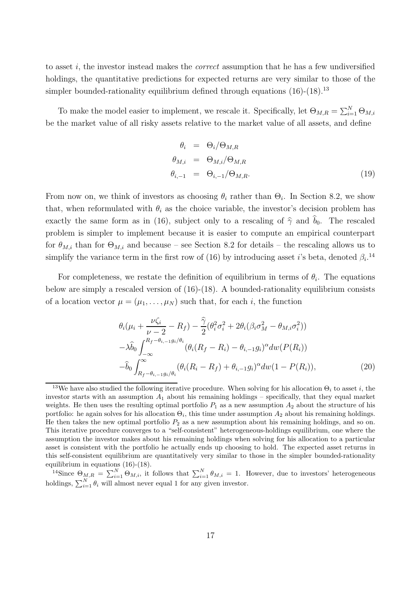to asset i, the investor instead makes the *correct* assumption that he has a few undiversified holdings, the quantitative predictions for expected returns are very similar to those of the simpler bounded-rationality equilibrium defined through equations  $(16)-(18)^{13}$ 

To make the model easier to implement, we rescale it. Specifically, let  $\Theta_{M,R} = \sum_{i=1}^{N} \Theta_{M,i}$ be the market value of all risky assets relative to the market value of all assets, and define

$$
\theta_i = \Theta_i / \Theta_{M,R}
$$
  
\n
$$
\theta_{M,i} = \Theta_{M,i} / \Theta_{M,R}
$$
  
\n
$$
\theta_{i,-1} = \Theta_{i,-1} / \Theta_{M,R}.
$$
\n(19)

From now on, we think of investors as choosing  $\theta_i$  rather than  $\Theta_i$ . In Section 8.2, we show that, when reformulated with  $\theta_i$  as the choice variable, the investor's decision problem has exactly the same form as in (16), subject only to a rescaling of  $\hat{\gamma}$  and  $b_0$ . The rescaled problem is simpler to implement because it is easier to compute an empirical counterpart for  $\theta_{M,i}$  than for  $\Theta_{M,i}$  and because – see Section 8.2 for details – the rescaling allows us to simplify the variance term in the first row of (16) by introducing asset *i*'s beta, denoted  $\beta_i$ <sup>14</sup>

For completeness, we restate the definition of equilibrium in terms of  $\theta_i$ . The equations below are simply a rescaled version of (16)-(18). A bounded-rationality equilibrium consists of a location vector  $\mu = (\mu_1, \ldots, \mu_N)$  such that, for each i, the function

$$
\theta_{i}(\mu_{i} + \frac{\nu\zeta_{i}}{\nu - 2} - R_{f}) - \frac{\hat{\gamma}}{2}(\theta_{i}^{2}\sigma_{i}^{2} + 2\theta_{i}(\beta_{i}\sigma_{M}^{2} - \theta_{M,i}\sigma_{i}^{2}))
$$
  

$$
-\lambda\hat{b}_{0} \int_{-\infty}^{R_{f} - \theta_{i, -1}g_{i}/\theta_{i}} (\theta_{i}(R_{f} - R_{i}) - \theta_{i, -1}g_{i})^{\alpha} dw(P(R_{i}))
$$
  

$$
-\hat{b}_{0} \int_{R_{f} - \theta_{i, -1}g_{i}/\theta_{i}}^{\infty} (\theta_{i}(R_{i} - R_{f}) + \theta_{i, -1}g_{i})^{\alpha} dw (1 - P(R_{i})),
$$
\n(20)

<sup>&</sup>lt;sup>13</sup>We have also studied the following iterative procedure. When solving for his allocation  $\Theta_i$  to asset i, the investor starts with an assumption  $A_1$  about his remaining holdings – specifically, that they equal market weights. He then uses the resulting optimal portfolio  $P_1$  as a new assumption  $A_2$  about the structure of his portfolio: he again solves for his allocation  $\Theta_i$ , this time under assumption  $A_2$  about his remaining holdings. He then takes the new optimal portfolio  $P_2$  as a new assumption about his remaining holdings, and so on. This iterative procedure converges to a "self-consistent" heterogeneous-holdings equilibrium, one where the assumption the investor makes about his remaining holdings when solving for his allocation to a particular asset is consistent with the portfolio he actually ends up choosing to hold. The expected asset returns in this self-consistent equilibrium are quantitatively very similar to those in the simpler bounded-rationality equilibrium in equations (16)-(18).

<sup>&</sup>lt;sup>14</sup>Since  $\Theta_{M,R} = \sum_{i=1}^{N} \Theta_{M,i}$ , it follows that  $\sum_{i=1}^{N} \theta_{M,i} = 1$ . However, due to investors' heterogeneous holdings,  $\sum_{i=1}^{N} \theta_i$  will almost never equal 1 for any given investor.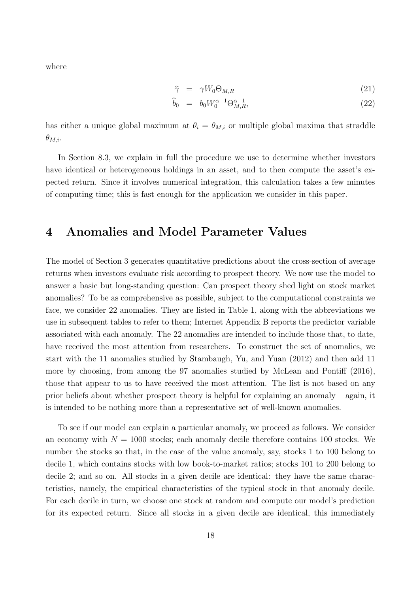where

$$
\widehat{\gamma} = \gamma W_0 \Theta_{M,R} \tag{21}
$$

$$
\hat{b}_0 = b_0 W_0^{\alpha - 1} \Theta_{M,R}^{\alpha - 1},\tag{22}
$$

has either a unique global maximum at  $\theta_i = \theta_{M,i}$  or multiple global maxima that straddle  $\theta_{M,i}$ .

In Section 8.3, we explain in full the procedure we use to determine whether investors have identical or heterogeneous holdings in an asset, and to then compute the asset's expected return. Since it involves numerical integration, this calculation takes a few minutes of computing time; this is fast enough for the application we consider in this paper.

## **4 Anomalies and Model Parameter Values**

The model of Section 3 generates quantitative predictions about the cross-section of average returns when investors evaluate risk according to prospect theory. We now use the model to answer a basic but long-standing question: Can prospect theory shed light on stock market anomalies? To be as comprehensive as possible, subject to the computational constraints we face, we consider 22 anomalies. They are listed in Table 1, along with the abbreviations we use in subsequent tables to refer to them; Internet Appendix B reports the predictor variable associated with each anomaly. The 22 anomalies are intended to include those that, to date, have received the most attention from researchers. To construct the set of anomalies, we start with the 11 anomalies studied by Stambaugh, Yu, and Yuan (2012) and then add 11 more by choosing, from among the 97 anomalies studied by McLean and Pontiff (2016), those that appear to us to have received the most attention. The list is not based on any prior beliefs about whether prospect theory is helpful for explaining an anomaly – again, it is intended to be nothing more than a representative set of well-known anomalies.

To see if our model can explain a particular anomaly, we proceed as follows. We consider an economy with  $N = 1000$  stocks; each anomaly decile therefore contains 100 stocks. We number the stocks so that, in the case of the value anomaly, say, stocks 1 to 100 belong to decile 1, which contains stocks with low book-to-market ratios; stocks 101 to 200 belong to decile 2; and so on. All stocks in a given decile are identical: they have the same characteristics, namely, the empirical characteristics of the typical stock in that anomaly decile. For each decile in turn, we choose one stock at random and compute our model's prediction for its expected return. Since all stocks in a given decile are identical, this immediately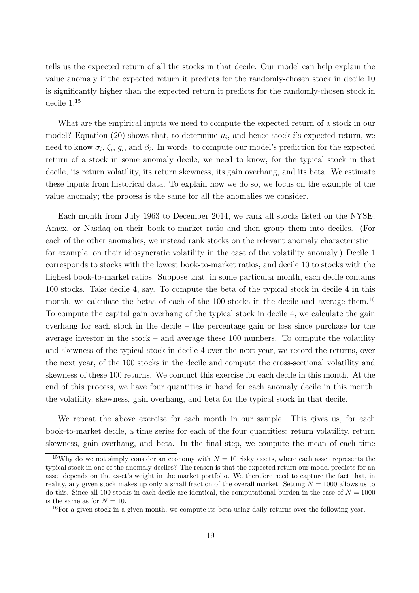tells us the expected return of all the stocks in that decile. Our model can help explain the value anomaly if the expected return it predicts for the randomly-chosen stock in decile 10 is significantly higher than the expected return it predicts for the randomly-chosen stock in decile 1.<sup>15</sup>

What are the empirical inputs we need to compute the expected return of a stock in our model? Equation (20) shows that, to determine  $\mu_i$ , and hence stock i's expected return, we need to know  $\sigma_i$ ,  $\zeta_i$ ,  $g_i$ , and  $\beta_i$ . In words, to compute our model's prediction for the expected return of a stock in some anomaly decile, we need to know, for the typical stock in that decile, its return volatility, its return skewness, its gain overhang, and its beta. We estimate these inputs from historical data. To explain how we do so, we focus on the example of the value anomaly; the process is the same for all the anomalies we consider.

Each month from July 1963 to December 2014, we rank all stocks listed on the NYSE, Amex, or Nasdaq on their book-to-market ratio and then group them into deciles. (For each of the other anomalies, we instead rank stocks on the relevant anomaly characteristic – for example, on their idiosyncratic volatility in the case of the volatility anomaly.) Decile 1 corresponds to stocks with the lowest book-to-market ratios, and decile 10 to stocks with the highest book-to-market ratios. Suppose that, in some particular month, each decile contains 100 stocks. Take decile 4, say. To compute the beta of the typical stock in decile 4 in this month, we calculate the betas of each of the 100 stocks in the decile and average them.<sup>16</sup> To compute the capital gain overhang of the typical stock in decile 4, we calculate the gain overhang for each stock in the decile – the percentage gain or loss since purchase for the average investor in the stock – and average these 100 numbers. To compute the volatility and skewness of the typical stock in decile 4 over the next year, we record the returns, over the next year, of the 100 stocks in the decile and compute the cross-sectional volatility and skewness of these 100 returns. We conduct this exercise for each decile in this month. At the end of this process, we have four quantities in hand for each anomaly decile in this month: the volatility, skewness, gain overhang, and beta for the typical stock in that decile.

We repeat the above exercise for each month in our sample. This gives us, for each book-to-market decile, a time series for each of the four quantities: return volatility, return skewness, gain overhang, and beta. In the final step, we compute the mean of each time

<sup>&</sup>lt;sup>15</sup>Why do we not simply consider an economy with  $N = 10$  risky assets, where each asset represents the typical stock in one of the anomaly deciles? The reason is that the expected return our model predicts for an asset depends on the asset's weight in the market portfolio. We therefore need to capture the fact that, in reality, any given stock makes up only a small fraction of the overall market. Setting  $N = 1000$  allows us to do this. Since all 100 stocks in each decile are identical, the computational burden in the case of  $N = 1000$ is the same as for  $N = 10$ .

<sup>16</sup>For a given stock in a given month, we compute its beta using daily returns over the following year.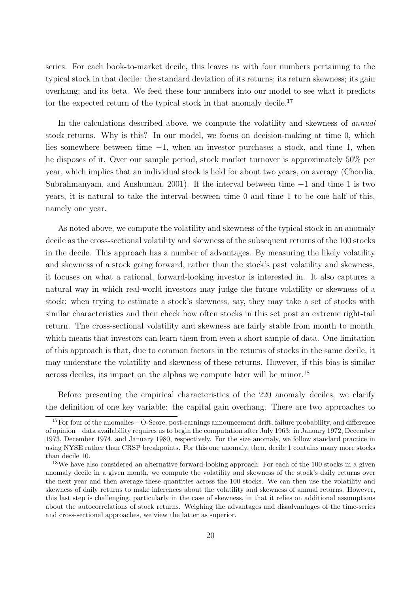series. For each book-to-market decile, this leaves us with four numbers pertaining to the typical stock in that decile: the standard deviation of its returns; its return skewness; its gain overhang; and its beta. We feed these four numbers into our model to see what it predicts for the expected return of the typical stock in that anomaly decile.<sup>17</sup>

In the calculations described above, we compute the volatility and skewness of *annual* stock returns. Why is this? In our model, we focus on decision-making at time 0, which lies somewhere between time −1, when an investor purchases a stock, and time 1, when he disposes of it. Over our sample period, stock market turnover is approximately 50% per year, which implies that an individual stock is held for about two years, on average (Chordia, Subrahmanyam, and Anshuman, 2001). If the interval between time −1 and time 1 is two years, it is natural to take the interval between time 0 and time 1 to be one half of this, namely one year.

As noted above, we compute the volatility and skewness of the typical stock in an anomaly decile as the cross-sectional volatility and skewness of the subsequent returns of the 100 stocks in the decile. This approach has a number of advantages. By measuring the likely volatility and skewness of a stock going forward, rather than the stock's past volatility and skewness, it focuses on what a rational, forward-looking investor is interested in. It also captures a natural way in which real-world investors may judge the future volatility or skewness of a stock: when trying to estimate a stock's skewness, say, they may take a set of stocks with similar characteristics and then check how often stocks in this set post an extreme right-tail return. The cross-sectional volatility and skewness are fairly stable from month to month, which means that investors can learn them from even a short sample of data. One limitation of this approach is that, due to common factors in the returns of stocks in the same decile, it may understate the volatility and skewness of these returns. However, if this bias is similar across deciles, its impact on the alphas we compute later will be minor.<sup>18</sup>

Before presenting the empirical characteristics of the 220 anomaly deciles, we clarify the definition of one key variable: the capital gain overhang. There are two approaches to

<sup>17</sup>For four of the anomalies – O-Score, post-earnings announcement drift, failure probability, and difference of opinion – data availability requires us to begin the computation after July 1963: in January 1972, December 1973, December 1974, and January 1980, respectively. For the size anomaly, we follow standard practice in using NYSE rather than CRSP breakpoints. For this one anomaly, then, decile 1 contains many more stocks than decile 10.

<sup>&</sup>lt;sup>18</sup>We have also considered an alternative forward-looking approach. For each of the 100 stocks in a given anomaly decile in a given month, we compute the volatility and skewness of the stock's daily returns over the next year and then average these quantities across the 100 stocks. We can then use the volatility and skewness of daily returns to make inferences about the volatility and skewness of annual returns. However, this last step is challenging, particularly in the case of skewness, in that it relies on additional assumptions about the autocorrelations of stock returns. Weighing the advantages and disadvantages of the time-series and cross-sectional approaches, we view the latter as superior.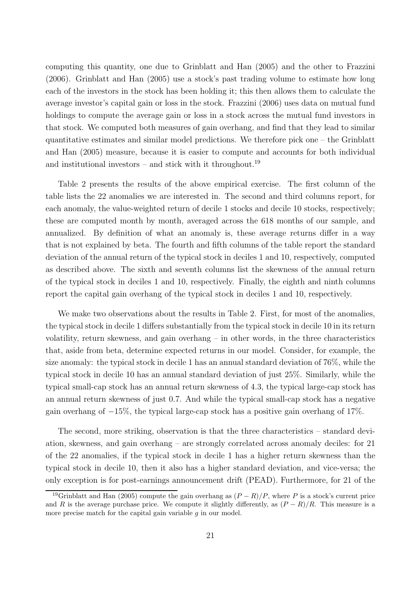computing this quantity, one due to Grinblatt and Han (2005) and the other to Frazzini (2006). Grinblatt and Han (2005) use a stock's past trading volume to estimate how long each of the investors in the stock has been holding it; this then allows them to calculate the average investor's capital gain or loss in the stock. Frazzini (2006) uses data on mutual fund holdings to compute the average gain or loss in a stock across the mutual fund investors in that stock. We computed both measures of gain overhang, and find that they lead to similar quantitative estimates and similar model predictions. We therefore pick one – the Grinblatt and Han (2005) measure, because it is easier to compute and accounts for both individual and institutional investors – and stick with it throughout.<sup>19</sup>

Table 2 presents the results of the above empirical exercise. The first column of the table lists the 22 anomalies we are interested in. The second and third columns report, for each anomaly, the value-weighted return of decile 1 stocks and decile 10 stocks, respectively; these are computed month by month, averaged across the 618 months of our sample, and annualized. By definition of what an anomaly is, these average returns differ in a way that is not explained by beta. The fourth and fifth columns of the table report the standard deviation of the annual return of the typical stock in deciles 1 and 10, respectively, computed as described above. The sixth and seventh columns list the skewness of the annual return of the typical stock in deciles 1 and 10, respectively. Finally, the eighth and ninth columns report the capital gain overhang of the typical stock in deciles 1 and 10, respectively.

We make two observations about the results in Table 2. First, for most of the anomalies, the typical stock in decile 1 differs substantially from the typical stock in decile 10 in its return volatility, return skewness, and gain overhang – in other words, in the three characteristics that, aside from beta, determine expected returns in our model. Consider, for example, the size anomaly: the typical stock in decile 1 has an annual standard deviation of 76%, while the typical stock in decile 10 has an annual standard deviation of just 25%. Similarly, while the typical small-cap stock has an annual return skewness of 4.3, the typical large-cap stock has an annual return skewness of just 0.7. And while the typical small-cap stock has a negative gain overhang of  $-15\%$ , the typical large-cap stock has a positive gain overhang of 17%.

The second, more striking, observation is that the three characteristics – standard deviation, skewness, and gain overhang – are strongly correlated across anomaly deciles: for 21 of the 22 anomalies, if the typical stock in decile 1 has a higher return skewness than the typical stock in decile 10, then it also has a higher standard deviation, and vice-versa; the only exception is for post-earnings announcement drift (PEAD). Furthermore, for 21 of the

<sup>&</sup>lt;sup>19</sup>Grinblatt and Han (2005) compute the gain overhang as  $(P - R)/P$ , where P is a stock's current price and R is the average purchase price. We compute it slightly differently, as  $(P - R)/R$ . This measure is a more precise match for the capital gain variable  $g$  in our model.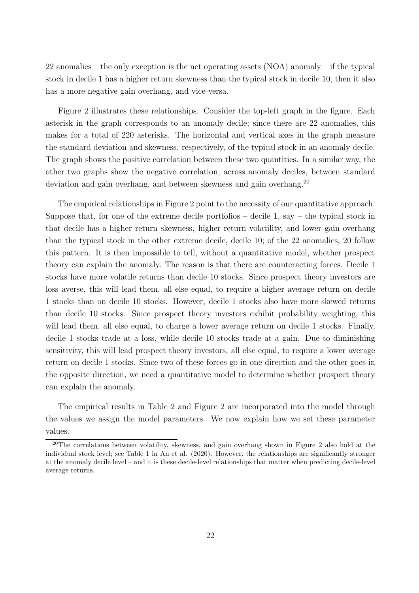22 anomalies – the only exception is the net operating assets (NOA) anomaly – if the typical stock in decile 1 has a higher return skewness than the typical stock in decile 10, then it also has a more negative gain overhang, and vice-versa.

Figure 2 illustrates these relationships. Consider the top-left graph in the figure. Each asterisk in the graph corresponds to an anomaly decile; since there are 22 anomalies, this makes for a total of 220 asterisks. The horizontal and vertical axes in the graph measure the standard deviation and skewness, respectively, of the typical stock in an anomaly decile. The graph shows the positive correlation between these two quantities. In a similar way, the other two graphs show the negative correlation, across anomaly deciles, between standard deviation and gain overhang, and between skewness and gain overhang.<sup>20</sup>

The empirical relationships in Figure 2 point to the necessity of our quantitative approach. Suppose that, for one of the extreme decile portfolios – decile 1, say – the typical stock in that decile has a higher return skewness, higher return volatility, and lower gain overhang than the typical stock in the other extreme decile, decile 10; of the 22 anomalies, 20 follow this pattern. It is then impossible to tell, without a quantitative model, whether prospect theory can explain the anomaly. The reason is that there are counteracting forces. Decile 1 stocks have more volatile returns than decile 10 stocks. Since prospect theory investors are loss averse, this will lead them, all else equal, to require a higher average return on decile 1 stocks than on decile 10 stocks. However, decile 1 stocks also have more skewed returns than decile 10 stocks. Since prospect theory investors exhibit probability weighting, this will lead them, all else equal, to charge a lower average return on decile 1 stocks. Finally, decile 1 stocks trade at a loss, while decile 10 stocks trade at a gain. Due to diminishing sensitivity, this will lead prospect theory investors, all else equal, to require a lower average return on decile 1 stocks. Since two of these forces go in one direction and the other goes in the opposite direction, we need a quantitative model to determine whether prospect theory can explain the anomaly.

The empirical results in Table 2 and Figure 2 are incorporated into the model through the values we assign the model parameters. We now explain how we set these parameter values.

<sup>&</sup>lt;sup>20</sup>The correlations between volatility, skewness, and gain overhang shown in Figure 2 also hold at the individual stock level; see Table 1 in An et al. (2020). However, the relationships are significantly stronger at the anomaly decile level – and it is these decile-level relationships that matter when predicting decile-level average returns.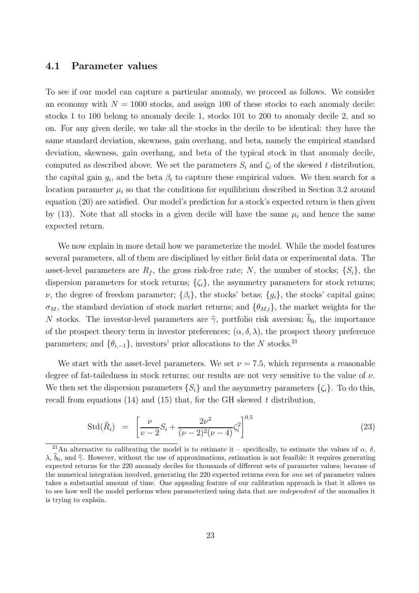### **4.1 Parameter values**

To see if our model can capture a particular anomaly, we proceed as follows. We consider an economy with  $N = 1000$  stocks, and assign 100 of these stocks to each anomaly decile: stocks 1 to 100 belong to anomaly decile 1, stocks 101 to 200 to anomaly decile 2, and so on. For any given decile, we take all the stocks in the decile to be identical: they have the same standard deviation, skewness, gain overhang, and beta, namely the empirical standard deviation, skewness, gain overhang, and beta of the typical stock in that anomaly decile, computed as described above. We set the parameters  $S_i$  and  $\zeta_i$  of the skewed t distribution, the capital gain  $g_i$ , and the beta  $\beta_i$  to capture these empirical values. We then search for a location parameter  $\mu_i$  so that the conditions for equilibrium described in Section 3.2 around equation (20) are satisfied. Our model's prediction for a stock's expected return is then given by (13). Note that all stocks in a given decile will have the same  $\mu_i$  and hence the same expected return.

We now explain in more detail how we parameterize the model. While the model features several parameters, all of them are disciplined by either field data or experimental data. The asset-level parameters are  $R_f$ , the gross risk-free rate; N, the number of stocks;  $\{S_i\}$ , the dispersion parameters for stock returns;  $\{\zeta_i\}$ , the asymmetry parameters for stock returns;  $\nu$ , the degree of freedom parameter;  $\{\beta_i\}$ , the stocks' betas;  $\{g_i\}$ , the stocks' capital gains;  $\sigma_M$ , the standard deviation of stock market returns; and  $\{\theta_{M,i}\}\$ , the market weights for the N stocks. The investor-level parameters are  $\hat{\gamma}$ , portfolio risk aversion;  $b_0$ , the importance of the prospect theory term in investor preferences;  $(\alpha, \delta, \lambda)$ , the prospect theory preference parameters; and  $\{\theta_{i,-1}\}\$ , investors' prior allocations to the N stocks.<sup>21</sup>

We start with the asset-level parameters. We set  $\nu = 7.5$ , which represents a reasonable degree of fat-tailedness in stock returns; our results are not very sensitive to the value of  $\nu$ . We then set the dispersion parameters  $\{S_i\}$  and the asymmetry parameters  $\{\zeta_i\}$ . To do this, recall from equations (14) and (15) that, for the GH skewed *t* distribution,

$$
\text{Std}(\tilde{R}_i) = \left[ \frac{\nu}{\nu - 2} S_i + \frac{2\nu^2}{(\nu - 2)^2 (\nu - 4)} \zeta_i^2 \right]^{0.5} \tag{23}
$$

<sup>&</sup>lt;sup>21</sup>An alternative to calibrating the model is to estimate it – specifically, to estimate the values of  $\alpha$ ,  $\delta$ ,  $\lambda, \hat{b}_0$ , and  $\hat{\gamma}$ . However, without the use of approximations, estimation is not feasible: it requires generating expected returns for the 220 anomaly deciles for thousands of different sets of parameter values; because of the numerical integration involved, generating the 220 expected returns even for *one* set of parameter values takes a substantial amount of time. One appealing feature of our calibration approach is that it allows us to see how well the model performs when parameterized using data that are *independent* of the anomalies it is trying to explain.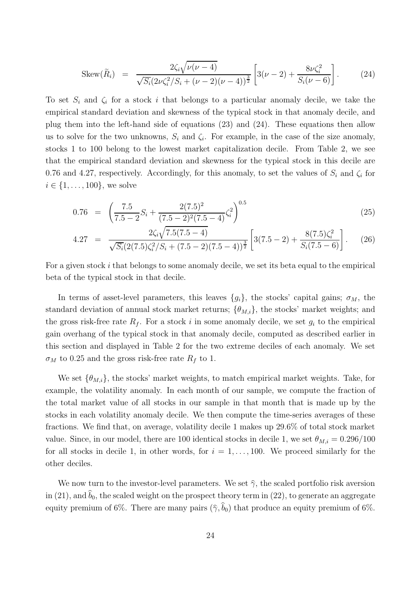$$
\text{Skew}(\tilde{R}_i) = \frac{2\zeta_i\sqrt{\nu(\nu-4)}}{\sqrt{S_i}(2\nu\zeta_i^2/S_i + (\nu-2)(\nu-4))^{\frac{3}{2}}} \left[3(\nu-2) + \frac{8\nu\zeta_i^2}{S_i(\nu-6)}\right].
$$
 (24)

To set  $S_i$  and  $\zeta_i$  for a stock i that belongs to a particular anomaly decile, we take the empirical standard deviation and skewness of the typical stock in that anomaly decile, and plug them into the left-hand side of equations (23) and (24). These equations then allow us to solve for the two unknowns,  $S_i$  and  $\zeta_i$ . For example, in the case of the size anomaly, stocks 1 to 100 belong to the lowest market capitalization decile. From Table 2, we see that the empirical standard deviation and skewness for the typical stock in this decile are 0.76 and 4.27, respectively. Accordingly, for this anomaly, to set the values of  $S_i$  and  $\zeta_i$  for  $i \in \{1, ..., 100\}$ , we solve

$$
0.76 = \left(\frac{7.5}{7.5 - 2}S_i + \frac{2(7.5)^2}{(7.5 - 2)^2(7.5 - 4)}\zeta_i^2\right)^{0.5}
$$
\n(25)

$$
4.27 = \frac{2\zeta_i\sqrt{7.5(7.5-4)}}{\sqrt{S_i}(2(7.5)\zeta_i^2/S_i + (7.5-2)(7.5-4))^{\frac{3}{2}}}\left[3(7.5-2) + \frac{8(7.5)\zeta_i^2}{S_i(7.5-6)}\right].
$$
 (26)

For a given stock i that belongs to some anomaly decile, we set its beta equal to the empirical beta of the typical stock in that decile.

In terms of asset-level parameters, this leaves  $\{g_i\}$ , the stocks' capital gains;  $\sigma_M$ , the standard deviation of annual stock market returns;  $\{\theta_{M,i}\}\$ , the stocks' market weights; and the gross risk-free rate  $R_f$ . For a stock i in some anomaly decile, we set  $g_i$  to the empirical gain overhang of the typical stock in that anomaly decile, computed as described earlier in this section and displayed in Table 2 for the two extreme deciles of each anomaly. We set  $\sigma_M$  to 0.25 and the gross risk-free rate  $R_f$  to 1.

We set  $\{\theta_{M,i}\}\$ , the stocks' market weights, to match empirical market weights. Take, for example, the volatility anomaly. In each month of our sample, we compute the fraction of the total market value of all stocks in our sample in that month that is made up by the stocks in each volatility anomaly decile. We then compute the time-series averages of these fractions. We find that, on average, volatility decile 1 makes up 29.6% of total stock market value. Since, in our model, there are 100 identical stocks in decile 1, we set  $\theta_{M,i} = 0.296/100$ for all stocks in decile 1, in other words, for  $i = 1, \ldots, 100$ . We proceed similarly for the other deciles.

We now turn to the investor-level parameters. We set  $\hat{\gamma}$ , the scaled portfolio risk aversion in (21), and  $\hat{b}_0$ , the scaled weight on the prospect theory term in (22), to generate an aggregate equity premium of 6%. There are many pairs  $(\hat{\gamma}, \hat{b}_0)$  that produce an equity premium of 6%.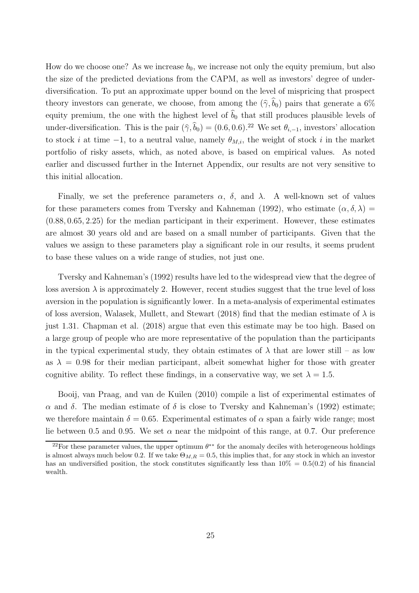How do we choose one? As we increase  $b_0$ , we increase not only the equity premium, but also the size of the predicted deviations from the CAPM, as well as investors' degree of underdiversification. To put an approximate upper bound on the level of mispricing that prospect theory investors can generate, we choose, from among the  $(\hat{\gamma}, \hat{b}_0)$  pairs that generate a 6% equity premium, the one with the highest level of  $\hat{b}_0$  that still produces plausible levels of under-diversification. This is the pair  $(\hat{\gamma}, \hat{b}_0) = (0.6, 0.6)^{22}$  We set  $\theta_{i,-1}$ , investors' allocation to stock i at time  $-1$ , to a neutral value, namely  $\theta_{M,i}$ , the weight of stock i in the market portfolio of risky assets, which, as noted above, is based on empirical values. As noted earlier and discussed further in the Internet Appendix, our results are not very sensitive to this initial allocation.

Finally, we set the preference parameters  $\alpha$ ,  $\delta$ , and  $\lambda$ . A well-known set of values for these parameters comes from Tversky and Kahneman (1992), who estimate  $(\alpha, \delta, \lambda)$  = (0.88, 0.65, 2.25) for the median participant in their experiment. However, these estimates are almost 30 years old and are based on a small number of participants. Given that the values we assign to these parameters play a significant role in our results, it seems prudent to base these values on a wide range of studies, not just one.

Tversky and Kahneman's (1992) results have led to the widespread view that the degree of loss aversion  $\lambda$  is approximately 2. However, recent studies suggest that the true level of loss aversion in the population is significantly lower. In a meta-analysis of experimental estimates of loss aversion, Walasek, Mullett, and Stewart (2018) find that the median estimate of  $\lambda$  is just 1.31. Chapman et al. (2018) argue that even this estimate may be too high. Based on a large group of people who are more representative of the population than the participants in the typical experimental study, they obtain estimates of  $\lambda$  that are lower still – as low as  $\lambda = 0.98$  for their median participant, albeit somewhat higher for those with greater cognitive ability. To reflect these findings, in a conservative way, we set  $\lambda = 1.5$ .

Booij, van Praag, and van de Kuilen (2010) compile a list of experimental estimates of  $\alpha$  and δ. The median estimate of δ is close to Tversky and Kahneman's (1992) estimate; we therefore maintain  $\delta = 0.65$ . Experimental estimates of  $\alpha$  span a fairly wide range; most lie between 0.5 and 0.95. We set  $\alpha$  near the midpoint of this range, at 0.7. Our preference

<sup>&</sup>lt;sup>22</sup>For these parameter values, the upper optimum  $\theta^{**}$  for the anomaly deciles with heterogeneous holdings is almost always much below 0.2. If we take  $\Theta_{M,R} = 0.5$ , this implies that, for any stock in which an investor has an undiversified position, the stock constitutes significantly less than  $10\% = 0.5(0.2)$  of his financial wealth.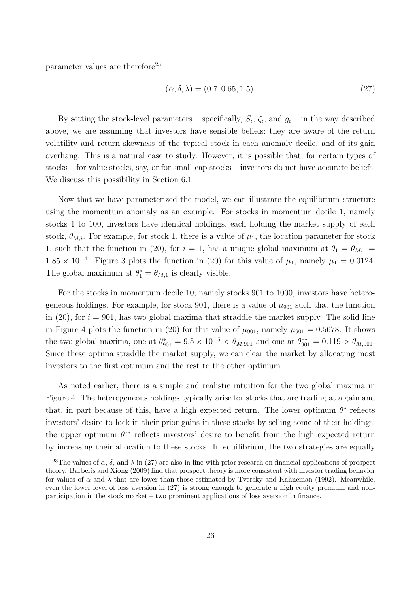parameter values are therefore<sup>23</sup>

$$
(\alpha, \delta, \lambda) = (0.7, 0.65, 1.5). \tag{27}
$$

By setting the stock-level parameters – specifically,  $S_i$ ,  $\zeta_i$ , and  $g_i$  – in the way described above, we are assuming that investors have sensible beliefs: they are aware of the return volatility and return skewness of the typical stock in each anomaly decile, and of its gain overhang. This is a natural case to study. However, it is possible that, for certain types of stocks – for value stocks, say, or for small-cap stocks – investors do not have accurate beliefs. We discuss this possibility in Section 6.1.

Now that we have parameterized the model, we can illustrate the equilibrium structure using the momentum anomaly as an example. For stocks in momentum decile 1, namely stocks 1 to 100, investors have identical holdings, each holding the market supply of each stock,  $\theta_{M,i}$ . For example, for stock 1, there is a value of  $\mu_1$ , the location parameter for stock 1, such that the function in (20), for  $i = 1$ , has a unique global maximum at  $\theta_1 = \theta_{M,1}$  $1.85 \times 10^{-4}$ . Figure 3 plots the function in (20) for this value of  $\mu_1$ , namely  $\mu_1 = 0.0124$ . The global maximum at  $\theta_1^* = \theta_{M,1}$  is clearly visible.

For the stocks in momentum decile 10, namely stocks 901 to 1000, investors have heterogeneous holdings. For example, for stock 901, there is a value of  $\mu_{901}$  such that the function in (20), for  $i = 901$ , has two global maxima that straddle the market supply. The solid line in Figure 4 plots the function in (20) for this value of  $\mu_{901}$ , namely  $\mu_{901} = 0.5678$ . It shows the two global maxima, one at  $\theta_{901}^* = 9.5 \times 10^{-5} < \theta_{M,901}$  and one at  $\theta_{901}^{**} = 0.119 > \theta_{M,901}$ . Since these optima straddle the market supply, we can clear the market by allocating most investors to the first optimum and the rest to the other optimum.

As noted earlier, there is a simple and realistic intuition for the two global maxima in Figure 4. The heterogeneous holdings typically arise for stocks that are trading at a gain and that, in part because of this, have a high expected return. The lower optimum  $\theta^*$  reflects investors' desire to lock in their prior gains in these stocks by selling some of their holdings; the upper optimum  $\theta^{**}$  reflects investors' desire to benefit from the high expected return by increasing their allocation to these stocks. In equilibrium, the two strategies are equally

<sup>&</sup>lt;sup>23</sup>The values of  $\alpha$ ,  $\delta$ , and  $\lambda$  in (27) are also in line with prior research on financial applications of prospect theory. Barberis and Xiong (2009) find that prospect theory is more consistent with investor trading behavior for values of  $\alpha$  and  $\lambda$  that are lower than those estimated by Tversky and Kahneman (1992). Meanwhile, even the lower level of loss aversion in (27) is strong enough to generate a high equity premium and nonparticipation in the stock market – two prominent applications of loss aversion in finance.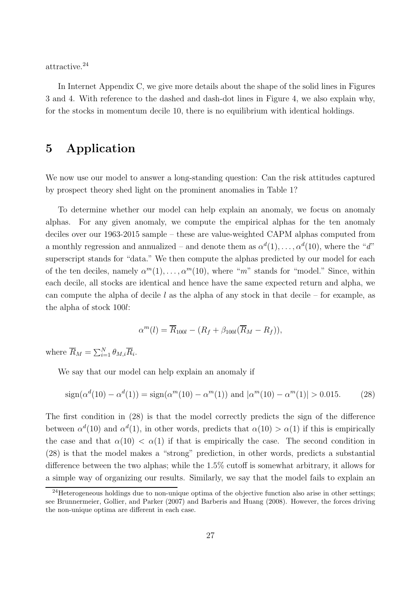attractive.<sup>24</sup>

In Internet Appendix C, we give more details about the shape of the solid lines in Figures 3 and 4. With reference to the dashed and dash-dot lines in Figure 4, we also explain why, for the stocks in momentum decile 10, there is no equilibrium with identical holdings.

# **5 Application**

We now use our model to answer a long-standing question: Can the risk attitudes captured by prospect theory shed light on the prominent anomalies in Table 1?

To determine whether our model can help explain an anomaly, we focus on anomaly alphas. For any given anomaly, we compute the empirical alphas for the ten anomaly deciles over our 1963-2015 sample – these are value-weighted CAPM alphas computed from a monthly regression and annualized – and denote them as  $\alpha^{d}(1), \ldots, \alpha^{d}(10)$ , where the "*d*" superscript stands for "data." We then compute the alphas predicted by our model for each of the ten deciles, namely  $\alpha^{m}(1), \ldots, \alpha^{m}(10)$ , where "*m*" stands for "model." Since, within each decile, all stocks are identical and hence have the same expected return and alpha, we can compute the alpha of decile  $l$  as the alpha of any stock in that decile – for example, as the alpha of stock 100l:

$$
\alpha^m(l) = \overline{R}_{100l} - (R_f + \beta_{100l}(\overline{R}_M - R_f)),
$$

where  $\overline{R}_M = \sum_{i=1}^N \theta_{M,i} \overline{R}_i$ .

We say that our model can help explain an anomaly if

$$
\text{sign}(\alpha^d(10) - \alpha^d(1)) = \text{sign}(\alpha^m(10) - \alpha^m(1)) \text{ and } |\alpha^m(10) - \alpha^m(1)| > 0.015. \tag{28}
$$

The first condition in (28) is that the model correctly predicts the sign of the difference between  $\alpha^{d}(10)$  and  $\alpha^{d}(1)$ , in other words, predicts that  $\alpha(10) > \alpha(1)$  if this is empirically the case and that  $\alpha(10) < \alpha(1)$  if that is empirically the case. The second condition in (28) is that the model makes a "strong" prediction, in other words, predicts a substantial difference between the two alphas; while the 1.5% cutoff is somewhat arbitrary, it allows for a simple way of organizing our results. Similarly, we say that the model fails to explain an

 $^{24}$ Heterogeneous holdings due to non-unique optima of the objective function also arise in other settings; see Brunnermeier, Gollier, and Parker (2007) and Barberis and Huang (2008). However, the forces driving the non-unique optima are different in each case.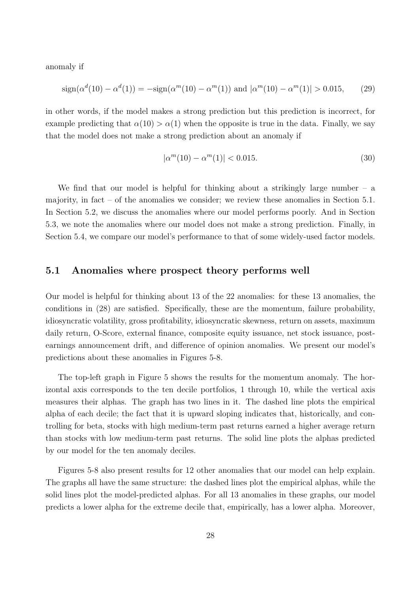anomaly if

$$
\text{sign}(\alpha^d(10) - \alpha^d(1)) = -\text{sign}(\alpha^m(10) - \alpha^m(1)) \text{ and } |\alpha^m(10) - \alpha^m(1)| > 0.015,\qquad(29)
$$

in other words, if the model makes a strong prediction but this prediction is incorrect, for example predicting that  $\alpha(10) > \alpha(1)$  when the opposite is true in the data. Finally, we say that the model does not make a strong prediction about an anomaly if

$$
|\alpha^m(10) - \alpha^m(1)| < 0.015. \tag{30}
$$

We find that our model is helpful for thinking about a strikingly large number  $-$  a majority, in fact – of the anomalies we consider; we review these anomalies in Section 5.1. In Section 5.2, we discuss the anomalies where our model performs poorly. And in Section 5.3, we note the anomalies where our model does not make a strong prediction. Finally, in Section 5.4, we compare our model's performance to that of some widely-used factor models.

### **5.1 Anomalies where prospect theory performs well**

Our model is helpful for thinking about 13 of the 22 anomalies: for these 13 anomalies, the conditions in (28) are satisfied. Specifically, these are the momentum, failure probability, idiosyncratic volatility, gross profitability, idiosyncratic skewness, return on assets, maximum daily return, O-Score, external finance, composite equity issuance, net stock issuance, postearnings announcement drift, and difference of opinion anomalies. We present our model's predictions about these anomalies in Figures 5-8.

The top-left graph in Figure 5 shows the results for the momentum anomaly. The horizontal axis corresponds to the ten decile portfolios, 1 through 10, while the vertical axis measures their alphas. The graph has two lines in it. The dashed line plots the empirical alpha of each decile; the fact that it is upward sloping indicates that, historically, and controlling for beta, stocks with high medium-term past returns earned a higher average return than stocks with low medium-term past returns. The solid line plots the alphas predicted by our model for the ten anomaly deciles.

Figures 5-8 also present results for 12 other anomalies that our model can help explain. The graphs all have the same structure: the dashed lines plot the empirical alphas, while the solid lines plot the model-predicted alphas. For all 13 anomalies in these graphs, our model predicts a lower alpha for the extreme decile that, empirically, has a lower alpha. Moreover,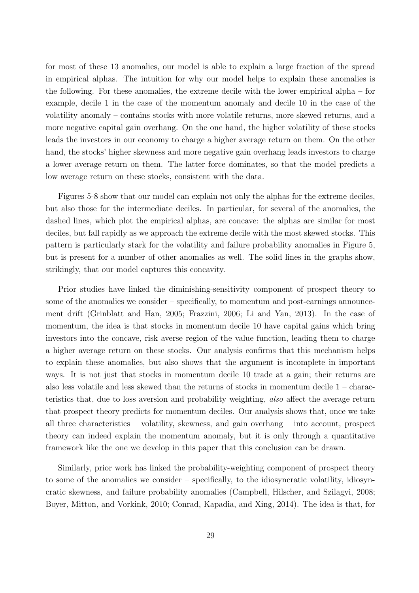for most of these 13 anomalies, our model is able to explain a large fraction of the spread in empirical alphas. The intuition for why our model helps to explain these anomalies is the following. For these anomalies, the extreme decile with the lower empirical alpha – for example, decile 1 in the case of the momentum anomaly and decile 10 in the case of the volatility anomaly – contains stocks with more volatile returns, more skewed returns, and a more negative capital gain overhang. On the one hand, the higher volatility of these stocks leads the investors in our economy to charge a higher average return on them. On the other hand, the stocks' higher skewness and more negative gain overhang leads investors to charge a lower average return on them. The latter force dominates, so that the model predicts a low average return on these stocks, consistent with the data.

Figures 5-8 show that our model can explain not only the alphas for the extreme deciles, but also those for the intermediate deciles. In particular, for several of the anomalies, the dashed lines, which plot the empirical alphas, are concave: the alphas are similar for most deciles, but fall rapidly as we approach the extreme decile with the most skewed stocks. This pattern is particularly stark for the volatility and failure probability anomalies in Figure 5, but is present for a number of other anomalies as well. The solid lines in the graphs show, strikingly, that our model captures this concavity.

Prior studies have linked the diminishing-sensitivity component of prospect theory to some of the anomalies we consider – specifically, to momentum and post-earnings announcement drift (Grinblatt and Han, 2005; Frazzini, 2006; Li and Yan, 2013). In the case of momentum, the idea is that stocks in momentum decile 10 have capital gains which bring investors into the concave, risk averse region of the value function, leading them to charge a higher average return on these stocks. Our analysis confirms that this mechanism helps to explain these anomalies, but also shows that the argument is incomplete in important ways. It is not just that stocks in momentum decile 10 trade at a gain; their returns are also less volatile and less skewed than the returns of stocks in momentum decile 1 – characteristics that, due to loss aversion and probability weighting, *also* affect the average return that prospect theory predicts for momentum deciles. Our analysis shows that, once we take all three characteristics – volatility, skewness, and gain overhang – into account, prospect theory can indeed explain the momentum anomaly, but it is only through a quantitative framework like the one we develop in this paper that this conclusion can be drawn.

Similarly, prior work has linked the probability-weighting component of prospect theory to some of the anomalies we consider – specifically, to the idiosyncratic volatility, idiosyncratic skewness, and failure probability anomalies (Campbell, Hilscher, and Szilagyi, 2008; Boyer, Mitton, and Vorkink, 2010; Conrad, Kapadia, and Xing, 2014). The idea is that, for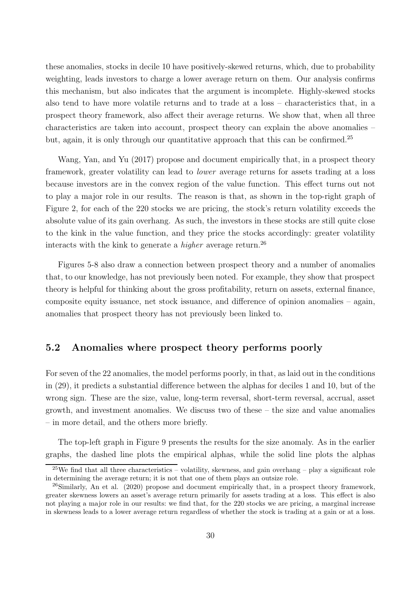these anomalies, stocks in decile 10 have positively-skewed returns, which, due to probability weighting, leads investors to charge a lower average return on them. Our analysis confirms this mechanism, but also indicates that the argument is incomplete. Highly-skewed stocks also tend to have more volatile returns and to trade at a loss – characteristics that, in a prospect theory framework, also affect their average returns. We show that, when all three characteristics are taken into account, prospect theory can explain the above anomalies – but, again, it is only through our quantitative approach that this can be confirmed.<sup>25</sup>

Wang, Yan, and Yu (2017) propose and document empirically that, in a prospect theory framework, greater volatility can lead to *lower* average returns for assets trading at a loss because investors are in the convex region of the value function. This effect turns out not to play a major role in our results. The reason is that, as shown in the top-right graph of Figure 2, for each of the 220 stocks we are pricing, the stock's return volatility exceeds the absolute value of its gain overhang. As such, the investors in these stocks are still quite close to the kink in the value function, and they price the stocks accordingly: greater volatility interacts with the kink to generate a *higher* average return.<sup>26</sup>

Figures 5-8 also draw a connection between prospect theory and a number of anomalies that, to our knowledge, has not previously been noted. For example, they show that prospect theory is helpful for thinking about the gross profitability, return on assets, external finance, composite equity issuance, net stock issuance, and difference of opinion anomalies – again, anomalies that prospect theory has not previously been linked to.

## **5.2 Anomalies where prospect theory performs poorly**

For seven of the 22 anomalies, the model performs poorly, in that, as laid out in the conditions in (29), it predicts a substantial difference between the alphas for deciles 1 and 10, but of the wrong sign. These are the size, value, long-term reversal, short-term reversal, accrual, asset growth, and investment anomalies. We discuss two of these – the size and value anomalies – in more detail, and the others more briefly.

The top-left graph in Figure 9 presents the results for the size anomaly. As in the earlier graphs, the dashed line plots the empirical alphas, while the solid line plots the alphas

 $25$ We find that all three characteristics – volatility, skewness, and gain overhang – play a significant role in determining the average return; it is not that one of them plays an outsize role.

<sup>&</sup>lt;sup>26</sup>Similarly, An et al. (2020) propose and document empirically that, in a prospect theory framework, greater skewness lowers an asset's average return primarily for assets trading at a loss. This effect is also not playing a major role in our results: we find that, for the 220 stocks we are pricing, a marginal increase in skewness leads to a lower average return regardless of whether the stock is trading at a gain or at a loss.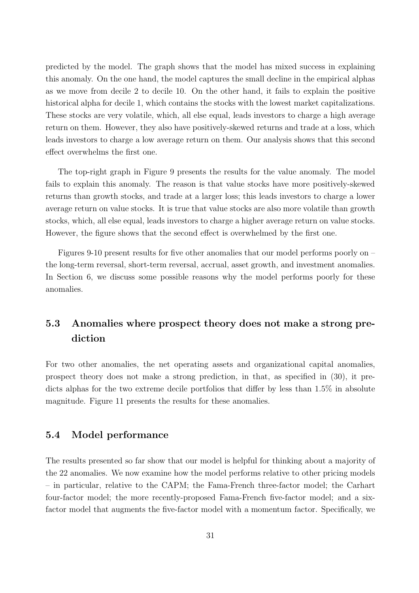predicted by the model. The graph shows that the model has mixed success in explaining this anomaly. On the one hand, the model captures the small decline in the empirical alphas as we move from decile 2 to decile 10. On the other hand, it fails to explain the positive historical alpha for decile 1, which contains the stocks with the lowest market capitalizations. These stocks are very volatile, which, all else equal, leads investors to charge a high average return on them. However, they also have positively-skewed returns and trade at a loss, which leads investors to charge a low average return on them. Our analysis shows that this second effect overwhelms the first one.

The top-right graph in Figure 9 presents the results for the value anomaly. The model fails to explain this anomaly. The reason is that value stocks have more positively-skewed returns than growth stocks, and trade at a larger loss; this leads investors to charge a lower average return on value stocks. It is true that value stocks are also more volatile than growth stocks, which, all else equal, leads investors to charge a higher average return on value stocks. However, the figure shows that the second effect is overwhelmed by the first one.

Figures 9-10 present results for five other anomalies that our model performs poorly on – the long-term reversal, short-term reversal, accrual, asset growth, and investment anomalies. In Section 6, we discuss some possible reasons why the model performs poorly for these anomalies.

# **5.3 Anomalies where prospect theory does not make a strong prediction**

For two other anomalies, the net operating assets and organizational capital anomalies, prospect theory does not make a strong prediction, in that, as specified in (30), it predicts alphas for the two extreme decile portfolios that differ by less than 1.5% in absolute magnitude. Figure 11 presents the results for these anomalies.

### **5.4 Model performance**

The results presented so far show that our model is helpful for thinking about a majority of the 22 anomalies. We now examine how the model performs relative to other pricing models – in particular, relative to the CAPM; the Fama-French three-factor model; the Carhart four-factor model; the more recently-proposed Fama-French five-factor model; and a sixfactor model that augments the five-factor model with a momentum factor. Specifically, we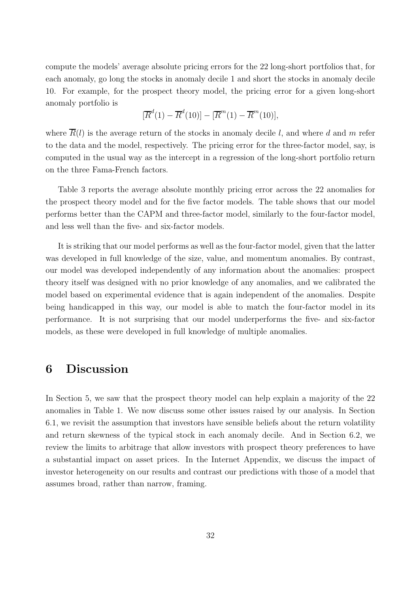compute the models' average absolute pricing errors for the 22 long-short portfolios that, for each anomaly, go long the stocks in anomaly decile 1 and short the stocks in anomaly decile 10. For example, for the prospect theory model, the pricing error for a given long-short anomaly portfolio is

$$
[\overline{R}^d(1) - \overline{R}^d(10)] - [\overline{R}^m(1) - \overline{R}^m(10)],
$$

where  $\overline{R}(l)$  is the average return of the stocks in anomaly decile l, and where d and m refer to the data and the model, respectively. The pricing error for the three-factor model, say, is computed in the usual way as the intercept in a regression of the long-short portfolio return on the three Fama-French factors.

Table 3 reports the average absolute monthly pricing error across the 22 anomalies for the prospect theory model and for the five factor models. The table shows that our model performs better than the CAPM and three-factor model, similarly to the four-factor model, and less well than the five- and six-factor models.

It is striking that our model performs as well as the four-factor model, given that the latter was developed in full knowledge of the size, value, and momentum anomalies. By contrast, our model was developed independently of any information about the anomalies: prospect theory itself was designed with no prior knowledge of any anomalies, and we calibrated the model based on experimental evidence that is again independent of the anomalies. Despite being handicapped in this way, our model is able to match the four-factor model in its performance. It is not surprising that our model underperforms the five- and six-factor models, as these were developed in full knowledge of multiple anomalies.

# **6 Discussion**

In Section 5, we saw that the prospect theory model can help explain a majority of the 22 anomalies in Table 1. We now discuss some other issues raised by our analysis. In Section 6.1, we revisit the assumption that investors have sensible beliefs about the return volatility and return skewness of the typical stock in each anomaly decile. And in Section 6.2, we review the limits to arbitrage that allow investors with prospect theory preferences to have a substantial impact on asset prices. In the Internet Appendix, we discuss the impact of investor heterogeneity on our results and contrast our predictions with those of a model that assumes broad, rather than narrow, framing.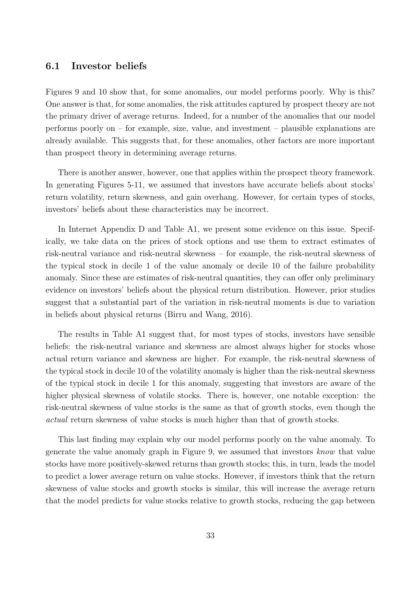### **6.1 Investor beliefs**

Figures 9 and 10 show that, for some anomalies, our model performs poorly. Why is this? One answer is that, for some anomalies, the risk attitudes captured by prospect theory are not the primary driver of average returns. Indeed, for a number of the anomalies that our model performs poorly on – for example, size, value, and investment – plausible explanations are already available. This suggests that, for these anomalies, other factors are more important than prospect theory in determining average returns.

There is another answer, however, one that applies within the prospect theory framework. In generating Figures 5-11, we assumed that investors have accurate beliefs about stocks' return volatility, return skewness, and gain overhang. However, for certain types of stocks, investors' beliefs about these characteristics may be incorrect.

In Internet Appendix D and Table A1, we present some evidence on this issue. Specifically, we take data on the prices of stock options and use them to extract estimates of risk-neutral variance and risk-neutral skewness – for example, the risk-neutral skewness of the typical stock in decile 1 of the value anomaly or decile 10 of the failure probability anomaly. Since these are estimates of risk-neutral quantities, they can offer only preliminary evidence on investors' beliefs about the physical return distribution. However, prior studies suggest that a substantial part of the variation in risk-neutral moments is due to variation in beliefs about physical returns (Birru and Wang, 2016).

The results in Table A1 suggest that, for most types of stocks, investors have sensible beliefs: the risk-neutral variance and skewness are almost always higher for stocks whose actual return variance and skewness are higher. For example, the risk-neutral skewness of the typical stock in decile 10 of the volatility anomaly is higher than the risk-neutral skewness of the typical stock in decile 1 for this anomaly, suggesting that investors are aware of the higher physical skewness of volatile stocks. There is, however, one notable exception: the risk-neutral skewness of value stocks is the same as that of growth stocks, even though the *actual* return skewness of value stocks is much higher than that of growth stocks.

This last finding may explain why our model performs poorly on the value anomaly. To generate the value anomaly graph in Figure 9, we assumed that investors *know* that value stocks have more positively-skewed returns than growth stocks; this, in turn, leads the model to predict a lower average return on value stocks. However, if investors think that the return skewness of value stocks and growth stocks is similar, this will increase the average return that the model predicts for value stocks relative to growth stocks, reducing the gap between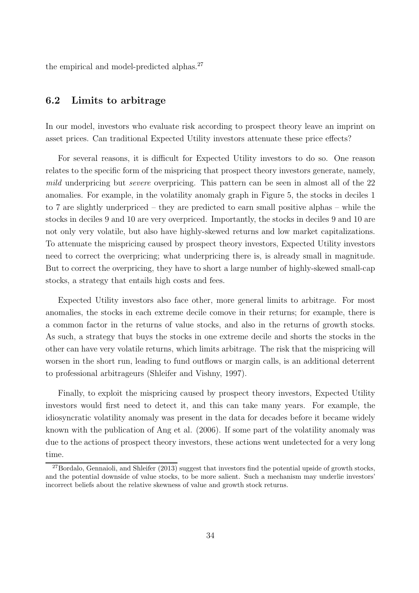the empirical and model-predicted alphas. $27$ 

## **6.2 Limits to arbitrage**

In our model, investors who evaluate risk according to prospect theory leave an imprint on asset prices. Can traditional Expected Utility investors attenuate these price effects?

For several reasons, it is difficult for Expected Utility investors to do so. One reason relates to the specific form of the mispricing that prospect theory investors generate, namely, *mild* underpricing but *severe* overpricing. This pattern can be seen in almost all of the 22 anomalies. For example, in the volatility anomaly graph in Figure 5, the stocks in deciles 1 to 7 are slightly underpriced – they are predicted to earn small positive alphas – while the stocks in deciles 9 and 10 are very overpriced. Importantly, the stocks in deciles 9 and 10 are not only very volatile, but also have highly-skewed returns and low market capitalizations. To attenuate the mispricing caused by prospect theory investors, Expected Utility investors need to correct the overpricing; what underpricing there is, is already small in magnitude. But to correct the overpricing, they have to short a large number of highly-skewed small-cap stocks, a strategy that entails high costs and fees.

Expected Utility investors also face other, more general limits to arbitrage. For most anomalies, the stocks in each extreme decile comove in their returns; for example, there is a common factor in the returns of value stocks, and also in the returns of growth stocks. As such, a strategy that buys the stocks in one extreme decile and shorts the stocks in the other can have very volatile returns, which limits arbitrage. The risk that the mispricing will worsen in the short run, leading to fund outflows or margin calls, is an additional deterrent to professional arbitrageurs (Shleifer and Vishny, 1997).

Finally, to exploit the mispricing caused by prospect theory investors, Expected Utility investors would first need to detect it, and this can take many years. For example, the idiosyncratic volatility anomaly was present in the data for decades before it became widely known with the publication of Ang et al. (2006). If some part of the volatility anomaly was due to the actions of prospect theory investors, these actions went undetected for a very long time.

 $^{27}$ Bordalo, Gennaioli, and Shleifer (2013) suggest that investors find the potential upside of growth stocks, and the potential downside of value stocks, to be more salient. Such a mechanism may underlie investors' incorrect beliefs about the relative skewness of value and growth stock returns.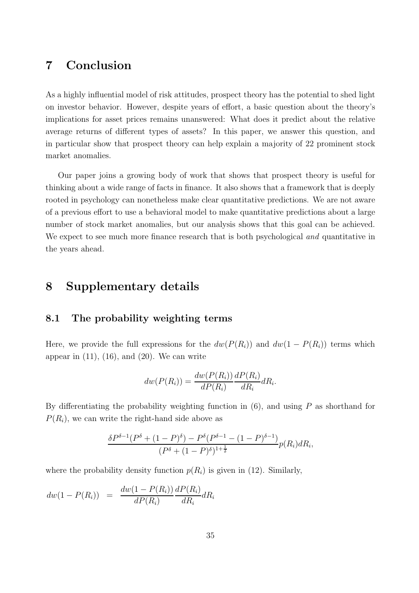# **7 Conclusion**

As a highly influential model of risk attitudes, prospect theory has the potential to shed light on investor behavior. However, despite years of effort, a basic question about the theory's implications for asset prices remains unanswered: What does it predict about the relative average returns of different types of assets? In this paper, we answer this question, and in particular show that prospect theory can help explain a majority of 22 prominent stock market anomalies.

Our paper joins a growing body of work that shows that prospect theory is useful for thinking about a wide range of facts in finance. It also shows that a framework that is deeply rooted in psychology can nonetheless make clear quantitative predictions. We are not aware of a previous effort to use a behavioral model to make quantitative predictions about a large number of stock market anomalies, but our analysis shows that this goal can be achieved. We expect to see much more finance research that is both psychological *and* quantitative in the years ahead.

## **8 Supplementary details**

### **8.1 The probability weighting terms**

Here, we provide the full expressions for the  $dw(P(R_i))$  and  $dw(1 - P(R_i))$  terms which appear in  $(11)$ ,  $(16)$ , and  $(20)$ . We can write

$$
dw(P(R_i)) = \frac{dw(P(R_i))}{dP(R_i)} \frac{dP(R_i)}{dR_i} dR_i.
$$

By differentiating the probability weighting function in  $(6)$ , and using P as shorthand for  $P(R_i)$ , we can write the right-hand side above as

$$
\frac{\delta P^{\delta-1}(P^{\delta} + (1 - P)^{\delta}) - P^{\delta}(P^{\delta-1} - (1 - P)^{\delta-1})}{(P^{\delta} + (1 - P)^{\delta})^{1 + \frac{1}{\delta}}} p(R_i) dR_i,
$$

where the probability density function  $p(R<sub>i</sub>)$  is given in (12). Similarly,

$$
dw(1 - P(R_i)) = \frac{dw(1 - P(R_i))}{dP(R_i)} \frac{dP(R_i)}{dR_i} dR_i
$$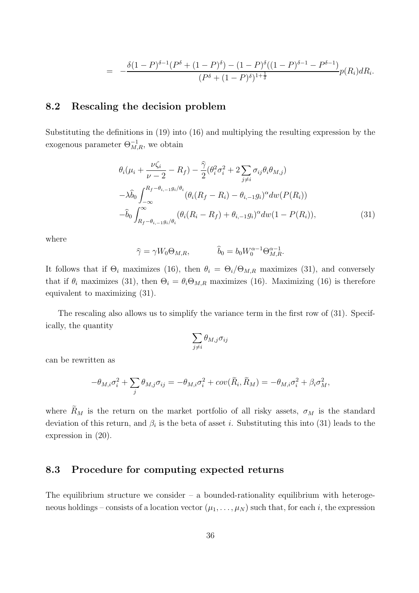$$
= -\frac{\delta(1-P)^{\delta-1}(P^{\delta} + (1-P)^{\delta}) - (1-P)^{\delta}((1-P)^{\delta-1} - P^{\delta-1})}{(P^{\delta} + (1-P)^{\delta})^{1+\frac{1}{\delta}}}p(R_i)dR_i.
$$

### **8.2 Rescaling the decision problem**

Substituting the definitions in (19) into (16) and multiplying the resulting expression by the exogenous parameter  $\Theta_{M,R}^{-1}$ , we obtain

$$
\theta_{i}(\mu_{i} + \frac{\nu\zeta_{i}}{\nu - 2} - R_{f}) - \frac{\hat{\gamma}}{2}(\theta_{i}^{2}\sigma_{i}^{2} + 2\sum_{j \neq i}\sigma_{ij}\theta_{i}\theta_{M,j})
$$

$$
-\lambda\hat{b}_{0} \int_{-\infty}^{R_{f} - \theta_{i, -1}g_{i}/\theta_{i}} (\theta_{i}(R_{f} - R_{i}) - \theta_{i, -1}g_{i})^{\alpha} dw(P(R_{i}))
$$

$$
-\hat{b}_{0} \int_{R_{f} - \theta_{i, -1}g_{i}/\theta_{i}}^{\infty} (\theta_{i}(R_{i} - R_{f}) + \theta_{i, -1}g_{i})^{\alpha} dw (1 - P(R_{i})), \qquad (31)
$$

where

$$
\widehat{\gamma} = \gamma W_0 \Theta_{M,R}, \qquad \widehat{b}_0 = b_0 W_0^{\alpha - 1} \Theta_{M,R}^{\alpha - 1}.
$$

It follows that if  $\Theta_i$  maximizes (16), then  $\theta_i = \Theta_i/\Theta_{M,R}$  maximizes (31), and conversely that if  $\theta_i$  maximizes (31), then  $\Theta_i = \theta_i \Theta_{M,R}$  maximizes (16). Maximizing (16) is therefore equivalent to maximizing (31).

The rescaling also allows us to simplify the variance term in the first row of (31). Specifically, the quantity

$$
\sum_{j\neq i}\theta_{M,j}\sigma_{ij}
$$

can be rewritten as

$$
-\theta_{M,i}\sigma_i^2 + \sum_j \theta_{M,j}\sigma_{ij} = -\theta_{M,i}\sigma_i^2 + cov(\tilde{R}_i, \tilde{R}_M) = -\theta_{M,i}\sigma_i^2 + \beta_i\sigma_M^2,
$$

where  $R_M$  is the return on the market portfolio of all risky assets,  $\sigma_M$  is the standard deviation of this return, and  $\beta_i$  is the beta of asset i. Substituting this into (31) leads to the expression in (20).

## **8.3 Procedure for computing expected returns**

The equilibrium structure we consider  $-$  a bounded-rationality equilibrium with heterogeneous holdings – consists of a location vector  $(\mu_1, \ldots, \mu_N)$  such that, for each i, the expression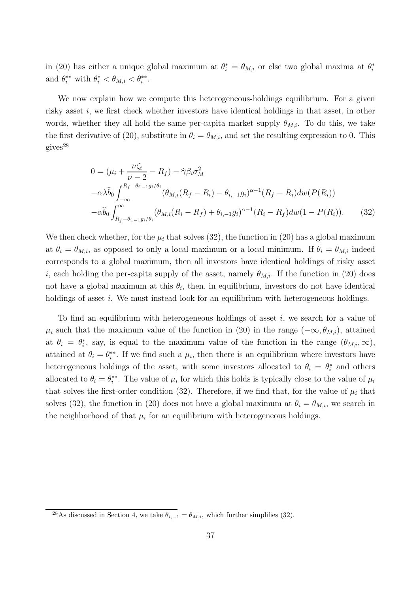in (20) has either a unique global maximum at  $\theta_i^* = \theta_{M,i}$  or else two global maxima at  $\theta_i^*$ and  $\theta_i^{**}$  with  $\theta_i^* < \theta_{M,i} < \theta_i^{**}$ .

We now explain how we compute this heterogeneous-holdings equilibrium. For a given risky asset i, we first check whether investors have identical holdings in that asset, in other words, whether they all hold the same per-capita market supply  $\theta_{M,i}$ . To do this, we take the first derivative of (20), substitute in  $\theta_i = \theta_{M,i}$ , and set the resulting expression to 0. This gives<sup>28</sup>

$$
0 = (\mu_i + \frac{\nu \zeta_i}{\nu - 2} - R_f) - \hat{\gamma} \beta_i \sigma_M^2
$$
  
\n
$$
-\alpha \lambda \hat{b}_0 \int_{-\infty}^{R_f - \theta_{i, -1} g_i / \theta_i} (\theta_{M, i}(R_f - R_i) - \theta_{i, -1} g_i)^{\alpha - 1} (R_f - R_i) dw (P(R_i))
$$
  
\n
$$
-\alpha \hat{b}_0 \int_{R_f - \theta_{i, -1} g_i / \theta_i}^{\infty} (\theta_{M, i}(R_i - R_f) + \theta_{i, -1} g_i)^{\alpha - 1} (R_i - R_f) dw (1 - P(R_i)). \tag{32}
$$

We then check whether, for the  $\mu_i$  that solves (32), the function in (20) has a global maximum at  $\theta_i = \theta_{M,i}$ , as opposed to only a local maximum or a local minimum. If  $\theta_i = \theta_{M,i}$  indeed corresponds to a global maximum, then all investors have identical holdings of risky asset i, each holding the per-capita supply of the asset, namely  $\theta_{M,i}$ . If the function in (20) does not have a global maximum at this  $\theta_i$ , then, in equilibrium, investors do not have identical holdings of asset *i*. We must instead look for an equilibrium with heterogeneous holdings.

To find an equilibrium with heterogeneous holdings of asset i, we search for a value of  $\mu_i$  such that the maximum value of the function in (20) in the range  $(-\infty, \theta_{M,i})$ , attained at  $\theta_i = \theta_i^*$ , say, is equal to the maximum value of the function in the range  $(\theta_{M,i}, \infty)$ , attained at  $\theta_i = \theta_i^{**}$ . If we find such a  $\mu_i$ , then there is an equilibrium where investors have heterogeneous holdings of the asset, with some investors allocated to  $\theta_i = \theta_i^*$  and others allocated to  $\theta_i = \theta_i^{**}$ . The value of  $\mu_i$  for which this holds is typically close to the value of  $\mu_i$ that solves the first-order condition (32). Therefore, if we find that, for the value of  $\mu_i$  that solves (32), the function in (20) does not have a global maximum at  $\theta_i = \theta_{M,i}$ , we search in the neighborhood of that  $\mu_i$  for an equilibrium with heterogeneous holdings.

<sup>&</sup>lt;sup>28</sup>As discussed in Section 4, we take  $\theta_{i,-1} = \theta_{M,i}$ , which further simplifies (32).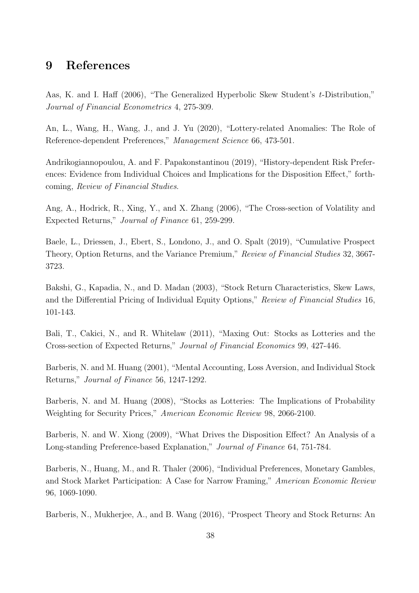## **9 References**

Aas, K. and I. Haff (2006), "The Generalized Hyperbolic Skew Student's *t*-Distribution," *Journal of Financial Econometrics* 4, 275-309.

An, L., Wang, H., Wang, J., and J. Yu (2020), "Lottery-related Anomalies: The Role of Reference-dependent Preferences," *Management Science* 66, 473-501.

Andrikogiannopoulou, A. and F. Papakonstantinou (2019), "History-dependent Risk Preferences: Evidence from Individual Choices and Implications for the Disposition Effect," forthcoming, *Review of Financial Studies*.

Ang, A., Hodrick, R., Xing, Y., and X. Zhang (2006), "The Cross-section of Volatility and Expected Returns," *Journal of Finance* 61, 259-299.

Baele, L., Driessen, J., Ebert, S., Londono, J., and O. Spalt (2019), "Cumulative Prospect Theory, Option Returns, and the Variance Premium," *Review of Financial Studies* 32, 3667- 3723.

Bakshi, G., Kapadia, N., and D. Madan (2003), "Stock Return Characteristics, Skew Laws, and the Differential Pricing of Individual Equity Options," *Review of Financial Studies* 16, 101-143.

Bali, T., Cakici, N., and R. Whitelaw (2011), "Maxing Out: Stocks as Lotteries and the Cross-section of Expected Returns," *Journal of Financial Economics* 99, 427-446.

Barberis, N. and M. Huang (2001), "Mental Accounting, Loss Aversion, and Individual Stock Returns," *Journal of Finance* 56, 1247-1292.

Barberis, N. and M. Huang (2008), "Stocks as Lotteries: The Implications of Probability Weighting for Security Prices," *American Economic Review* 98, 2066-2100.

Barberis, N. and W. Xiong (2009), "What Drives the Disposition Effect? An Analysis of a Long-standing Preference-based Explanation," *Journal of Finance* 64, 751-784.

Barberis, N., Huang, M., and R. Thaler (2006), "Individual Preferences, Monetary Gambles, and Stock Market Participation: A Case for Narrow Framing," *American Economic Review* 96, 1069-1090.

Barberis, N., Mukherjee, A., and B. Wang (2016), "Prospect Theory and Stock Returns: An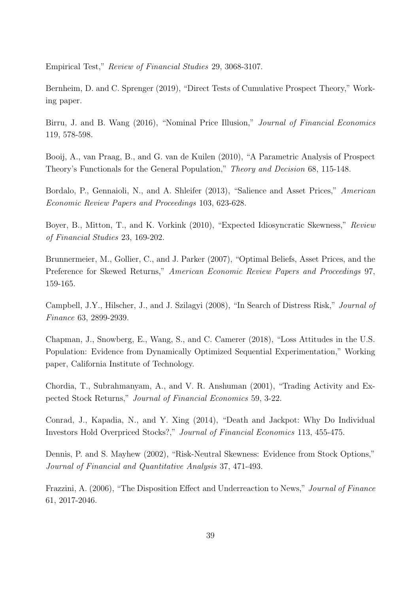Empirical Test," *Review of Financial Studies* 29, 3068-3107.

Bernheim, D. and C. Sprenger (2019), "Direct Tests of Cumulative Prospect Theory," Working paper.

Birru, J. and B. Wang (2016), "Nominal Price Illusion," *Journal of Financial Economics* 119, 578-598.

Booij, A., van Praag, B., and G. van de Kuilen (2010), "A Parametric Analysis of Prospect Theory's Functionals for the General Population," *Theory and Decision* 68, 115-148.

Bordalo, P., Gennaioli, N., and A. Shleifer (2013), "Salience and Asset Prices," *American Economic Review Papers and Proceedings* 103, 623-628.

Boyer, B., Mitton, T., and K. Vorkink (2010), "Expected Idiosyncratic Skewness," *Review of Financial Studies* 23, 169-202.

Brunnermeier, M., Gollier, C., and J. Parker (2007), "Optimal Beliefs, Asset Prices, and the Preference for Skewed Returns," *American Economic Review Papers and Proceedings* 97, 159-165.

Campbell, J.Y., Hilscher, J., and J. Szilagyi (2008), "In Search of Distress Risk," *Journal of Finance* 63, 2899-2939.

Chapman, J., Snowberg, E., Wang, S., and C. Camerer (2018), "Loss Attitudes in the U.S. Population: Evidence from Dynamically Optimized Sequential Experimentation," Working paper, California Institute of Technology.

Chordia, T., Subrahmanyam, A., and V. R. Anshuman (2001), "Trading Activity and Expected Stock Returns," *Journal of Financial Economics* 59, 3-22.

Conrad, J., Kapadia, N., and Y. Xing (2014), "Death and Jackpot: Why Do Individual Investors Hold Overpriced Stocks?," *Journal of Financial Economics* 113, 455-475.

Dennis, P. and S. Mayhew (2002), "Risk-Neutral Skewness: Evidence from Stock Options," *Journal of Financial and Quantitative Analysis* 37, 471-493.

Frazzini, A. (2006), "The Disposition Effect and Underreaction to News," *Journal of Finance* 61, 2017-2046.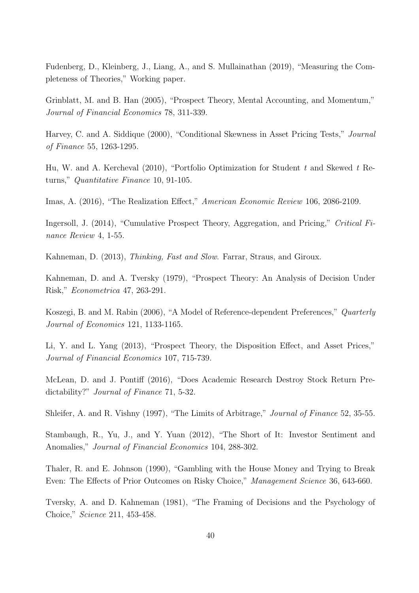Fudenberg, D., Kleinberg, J., Liang, A., and S. Mullainathan (2019), "Measuring the Completeness of Theories," Working paper.

Grinblatt, M. and B. Han (2005), "Prospect Theory, Mental Accounting, and Momentum," *Journal of Financial Economics* 78, 311-339.

Harvey, C. and A. Siddique (2000), "Conditional Skewness in Asset Pricing Tests," *Journal of Finance* 55, 1263-1295.

Hu, W. and A. Kercheval (2010), "Portfolio Optimization for Student *t* and Skewed *t* Returns," *Quantitative Finance* 10, 91-105.

Imas, A. (2016), "The Realization Effect," *American Economic Review* 106, 2086-2109.

Ingersoll, J. (2014), "Cumulative Prospect Theory, Aggregation, and Pricing," *Critical Finance Review* 4, 1-55.

Kahneman, D. (2013), *Thinking, Fast and Slow*. Farrar, Straus, and Giroux.

Kahneman, D. and A. Tversky (1979), "Prospect Theory: An Analysis of Decision Under Risk," *Econometrica* 47, 263-291.

Koszegi, B. and M. Rabin (2006), "A Model of Reference-dependent Preferences," *Quarterly Journal of Economics* 121, 1133-1165.

Li, Y. and L. Yang (2013), "Prospect Theory, the Disposition Effect, and Asset Prices," *Journal of Financial Economics* 107, 715-739.

McLean, D. and J. Pontiff (2016), "Does Academic Research Destroy Stock Return Predictability?" *Journal of Finance* 71, 5-32.

Shleifer, A. and R. Vishny (1997), "The Limits of Arbitrage," *Journal of Finance* 52, 35-55.

Stambaugh, R., Yu, J., and Y. Yuan (2012), "The Short of It: Investor Sentiment and Anomalies," *Journal of Financial Economics* 104, 288-302.

Thaler, R. and E. Johnson (1990), "Gambling with the House Money and Trying to Break Even: The Effects of Prior Outcomes on Risky Choice," *Management Science* 36, 643-660.

Tversky, A. and D. Kahneman (1981), "The Framing of Decisions and the Psychology of Choice," *Science* 211, 453-458.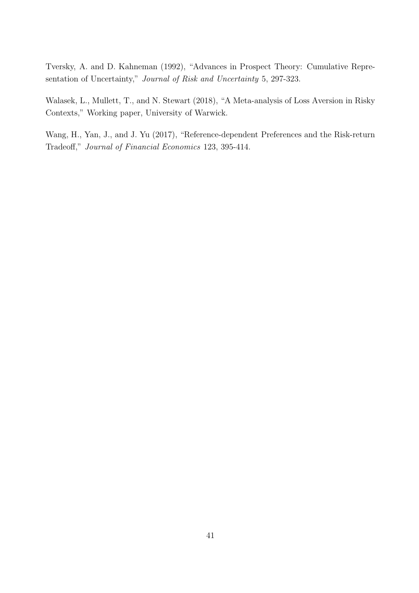Tversky, A. and D. Kahneman (1992), "Advances in Prospect Theory: Cumulative Representation of Uncertainty," *Journal of Risk and Uncertainty* 5, 297-323.

Walasek, L., Mullett, T., and N. Stewart (2018), "A Meta-analysis of Loss Aversion in Risky Contexts," Working paper, University of Warwick.

Wang, H., Yan, J., and J. Yu (2017), "Reference-dependent Preferences and the Risk-return Tradeoff," *Journal of Financial Economics* 123, 395-414.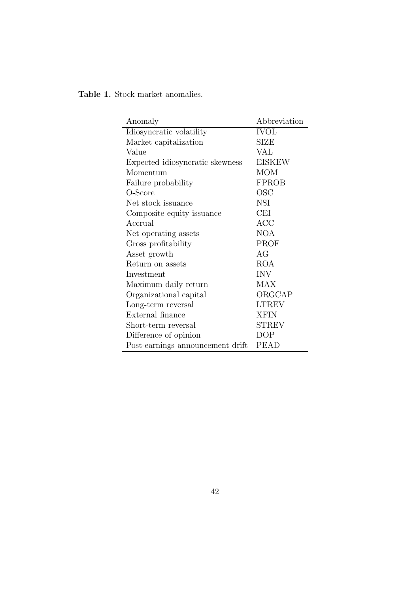| Anomaly                          | Abbreviation  |
|----------------------------------|---------------|
| Idiosyncratic volatility         | <b>IVOL</b>   |
| Market capitalization            | <b>SIZE</b>   |
| Value                            | VAL           |
| Expected idiosyncratic skewness  | <b>EISKEW</b> |
| Momentum                         | <b>MOM</b>    |
| Failure probability              | <b>FPROB</b>  |
| O-Score                          | OSC           |
| Net stock issuance               | <b>NSI</b>    |
| Composite equity issuance        | <b>CEI</b>    |
| Accrual                          | ACC           |
| Net operating assets             | <b>NOA</b>    |
| Gross profitability              | PROF          |
| Asset growth                     | AG            |
| Return on assets                 | ROA           |
| Investment                       | <b>INV</b>    |
| Maximum daily return             | <b>MAX</b>    |
| Organizational capital           | ORGCAP        |
| Long-term reversal               | <b>LTREV</b>  |
| External finance                 | <b>XFIN</b>   |
| Short-term reversal              | <b>STREV</b>  |
| Difference of opinion            | <b>DOP</b>    |
| Post-earnings announcement drift | <b>PEAD</b>   |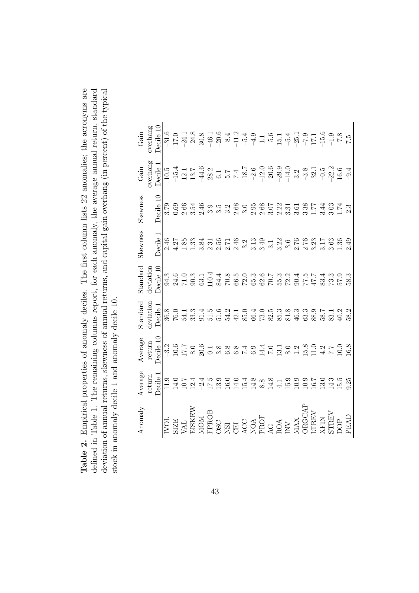Table 2. Empirical properties of anomaly deciles. The first column lists 22 anomalies; the acronyms are deviation of annual returns, skewness of annual returns, and capital gain overhang (in percent) of the typical defined in Table 1. The remaining columns report, for each anomaly, the average annual return, standard **Table 2.** Empirical properties of anomaly deciles. The first column lists 22 anomalies; the acronyms are defined in Table 1. The remaining columns report, for each anomaly, the average annual return, standard deviation of annual returns, skewness of annual returns, and capital gain overhang (in percent) of the typical stock in anomaly decile 1 and anomaly decile 10. stock in anomaly decile 1 and anomaly decile 10.

| Anomaly                                                                                                                                                                                                                                            | Average | Average   | tandard   | Standard                                             | Skewness                                                                                                 | Skewness  | $\operatorname{Gain}$                                                                                                                                                                                                                                                                                                                                                                                                       | $\operatorname{Gain}$ |
|----------------------------------------------------------------------------------------------------------------------------------------------------------------------------------------------------------------------------------------------------|---------|-----------|-----------|------------------------------------------------------|----------------------------------------------------------------------------------------------------------|-----------|-----------------------------------------------------------------------------------------------------------------------------------------------------------------------------------------------------------------------------------------------------------------------------------------------------------------------------------------------------------------------------------------------------------------------------|-----------------------|
|                                                                                                                                                                                                                                                    | return  | return    | deviation | deviation                                            |                                                                                                          |           | overhang                                                                                                                                                                                                                                                                                                                                                                                                                    | werhang               |
|                                                                                                                                                                                                                                                    | Decile  | Decile 10 | Decile 1  | $\begin{array}{c}\n\text{Decile} \\ 10\n\end{array}$ | Decile 1                                                                                                 | Decile 10 | Decile i                                                                                                                                                                                                                                                                                                                                                                                                                    | Decile 10             |
|                                                                                                                                                                                                                                                    |         |           |           |                                                      |                                                                                                          |           |                                                                                                                                                                                                                                                                                                                                                                                                                             |                       |
|                                                                                                                                                                                                                                                    |         |           |           |                                                      |                                                                                                          |           |                                                                                                                                                                                                                                                                                                                                                                                                                             |                       |
|                                                                                                                                                                                                                                                    |         |           |           |                                                      |                                                                                                          |           |                                                                                                                                                                                                                                                                                                                                                                                                                             |                       |
|                                                                                                                                                                                                                                                    |         |           |           |                                                      |                                                                                                          |           |                                                                                                                                                                                                                                                                                                                                                                                                                             |                       |
|                                                                                                                                                                                                                                                    |         |           |           |                                                      |                                                                                                          |           |                                                                                                                                                                                                                                                                                                                                                                                                                             |                       |
|                                                                                                                                                                                                                                                    |         |           |           |                                                      |                                                                                                          |           |                                                                                                                                                                                                                                                                                                                                                                                                                             |                       |
|                                                                                                                                                                                                                                                    |         |           |           |                                                      |                                                                                                          |           |                                                                                                                                                                                                                                                                                                                                                                                                                             |                       |
|                                                                                                                                                                                                                                                    |         |           |           |                                                      |                                                                                                          |           |                                                                                                                                                                                                                                                                                                                                                                                                                             |                       |
|                                                                                                                                                                                                                                                    |         |           |           |                                                      |                                                                                                          |           |                                                                                                                                                                                                                                                                                                                                                                                                                             |                       |
|                                                                                                                                                                                                                                                    |         |           |           |                                                      |                                                                                                          |           |                                                                                                                                                                                                                                                                                                                                                                                                                             |                       |
| <b>SERIES</b><br>SERIES BOOKS DE COMPARE DE COMPANY<br>SERIES DE COMPARE DE COMPANY<br>SERIES DE COMPARE DE COMPANY<br>COMPANY DE COMPANY DE COMPANY DE COMPANY DE COMPANY DE COMPANY DE COMPANY DE COMPANY DE COMPANY DE COMPANY DE<br>DE COMPANY |         |           |           |                                                      | 4 5 5 8 3 4 5 6 5 4 5 6 7 9 9 1 8 6 6 6 7 8 7 8 9 9<br>4 5 6 8 7 8 7 9 6 7 9 9 1 9 9 1 8 9 6 7 8 7 8 9 9 |           | $19.7 \times 10^{-4} \times 10^{-4} \times 10^{-4} \times 10^{-4} \times 10^{-4} \times 10^{-4} \times 10^{-4} \times 10^{-4} \times 10^{-4} \times 10^{-4} \times 10^{-4} \times 10^{-4} \times 10^{-4} \times 10^{-4} \times 10^{-4} \times 10^{-4} \times 10^{-4} \times 10^{-4} \times 10^{-4} \times 10^{-4} \times 10^{-4} \times 10^{-4} \times 10^{-4} \times 10^{-4} \times 10^{-4} \times 10^{-4} \times 10^{-4}$ |                       |
|                                                                                                                                                                                                                                                    |         |           |           |                                                      |                                                                                                          |           |                                                                                                                                                                                                                                                                                                                                                                                                                             |                       |
|                                                                                                                                                                                                                                                    |         |           |           |                                                      |                                                                                                          |           |                                                                                                                                                                                                                                                                                                                                                                                                                             |                       |
|                                                                                                                                                                                                                                                    |         |           |           |                                                      |                                                                                                          |           |                                                                                                                                                                                                                                                                                                                                                                                                                             |                       |
|                                                                                                                                                                                                                                                    |         |           |           |                                                      |                                                                                                          |           |                                                                                                                                                                                                                                                                                                                                                                                                                             |                       |
|                                                                                                                                                                                                                                                    |         |           |           |                                                      |                                                                                                          |           |                                                                                                                                                                                                                                                                                                                                                                                                                             |                       |
|                                                                                                                                                                                                                                                    |         |           |           |                                                      |                                                                                                          |           |                                                                                                                                                                                                                                                                                                                                                                                                                             |                       |
|                                                                                                                                                                                                                                                    |         |           |           |                                                      |                                                                                                          |           |                                                                                                                                                                                                                                                                                                                                                                                                                             |                       |
|                                                                                                                                                                                                                                                    |         |           |           |                                                      |                                                                                                          |           |                                                                                                                                                                                                                                                                                                                                                                                                                             |                       |
|                                                                                                                                                                                                                                                    |         |           |           |                                                      |                                                                                                          |           |                                                                                                                                                                                                                                                                                                                                                                                                                             |                       |
|                                                                                                                                                                                                                                                    |         |           |           |                                                      |                                                                                                          |           |                                                                                                                                                                                                                                                                                                                                                                                                                             |                       |
|                                                                                                                                                                                                                                                    |         |           |           |                                                      |                                                                                                          |           |                                                                                                                                                                                                                                                                                                                                                                                                                             |                       |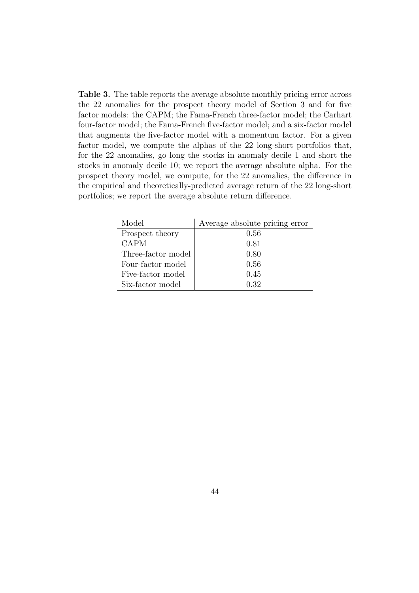**Table 3.** The table reports the average absolute monthly pricing error across the 22 anomalies for the prospect theory model of Section 3 and for five factor models: the CAPM; the Fama-French three-factor model; the Carhart four-factor model; the Fama-French five-factor model; and a six-factor model that augments the five-factor model with a momentum factor. For a given factor model, we compute the alphas of the 22 long-short portfolios that, for the 22 anomalies, go long the stocks in anomaly decile 1 and short the stocks in anomaly decile 10; we report the average absolute alpha. For the prospect theory model, we compute, for the 22 anomalies, the difference in the empirical and theoretically-predicted average return of the 22 long-short portfolios; we report the average absolute return difference.

| Model              | Average absolute pricing error |
|--------------------|--------------------------------|
| Prospect theory    | 0.56                           |
| CAPM               | 0.81                           |
| Three-factor model | 0.80                           |
| Four-factor model  | 0.56                           |
| Five-factor model  | 0.45                           |
| Six-factor model   | 0.32                           |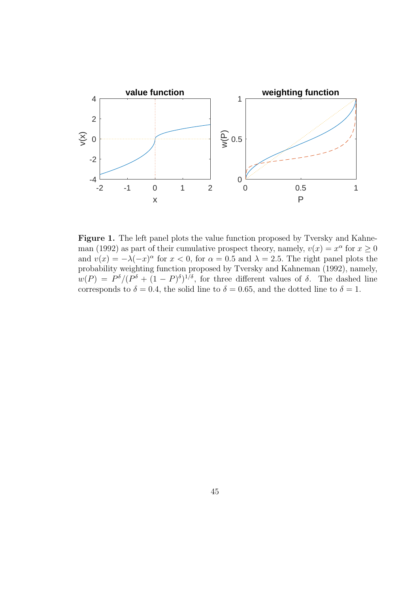

Figure 1. The left panel plots the value function proposed by Tversky and Kahneman (1992) as part of their cumulative prospect theory, namely,  $v(x) = x^{\alpha}$  for  $x \ge 0$ and  $v(x) = -\lambda(-x)^\alpha$  for  $x < 0$ , for  $\alpha = 0.5$  and  $\lambda = 2.5$ . The right panel plots the probability weighting function proposed by Tversky and Kahneman (1992), namely,  $w(P) = P^{\delta}/(P^{\delta} + (1 - P)^{\delta})^{1/\delta}$ , for three different values of  $\delta$ . The dashed line corresponds to  $\delta = 0.4$ , the solid line to  $\delta = 0.65$ , and the dotted line to  $\delta = 1$ .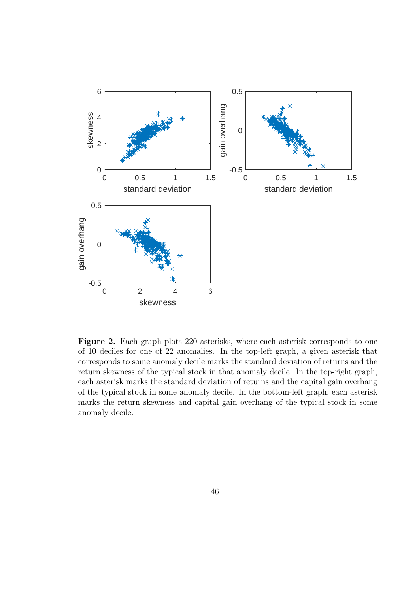

Figure 2. Each graph plots 220 asterisks, where each asterisk corresponds to one of 10 deciles for one of 22 anomalies. In the top-left graph, a given asterisk that corresponds to some anomaly decile marks the standard deviation of returns and the return skewness of the typical stock in that anomaly decile. In the top-right graph, each asterisk marks the standard deviation of returns and the capital gain overhang of the typical stock in some anomaly decile. In the bottom-left graph, each asterisk marks the return skewness and capital gain overhang of the typical stock in some anomaly decile.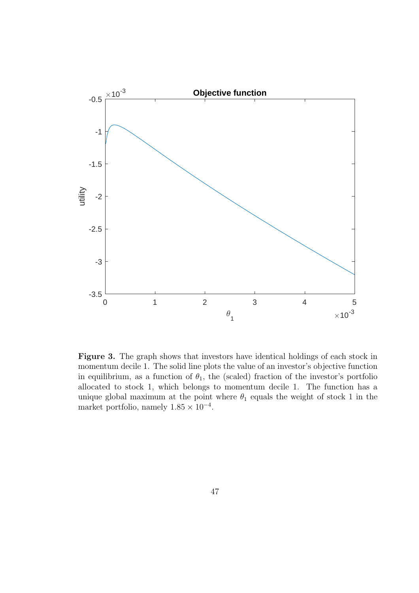

**Figure 3.** The graph shows that investors have identical holdings of each stock in momentum decile 1. The solid line plots the value of an investor's objective function in equilibrium, as a function of  $\theta_1$ , the (scaled) fraction of the investor's portfolio allocated to stock 1, which belongs to momentum decile 1. The function has a unique global maximum at the point where  $\theta_1$  equals the weight of stock 1 in the market portfolio, namely 1.85 × 10*−*<sup>4</sup>.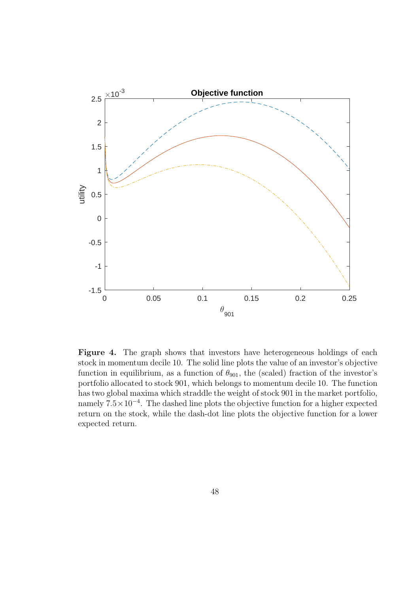

**Figure 4.** The graph shows that investors have heterogeneous holdings of each stock in momentum decile 10. The solid line plots the value of an investor's objective function in equilibrium, as a function of  $\theta_{901}$ , the (scaled) fraction of the investor's portfolio allocated to stock 901, which belongs to momentum decile 10. The function has two global maxima which straddle the weight of stock 901 in the market portfolio, namely  $7.5 \times 10^{-4}$ . The dashed line plots the objective function for a higher expected return on the stock, while the dash-dot line plots the objective function for a lower expected return.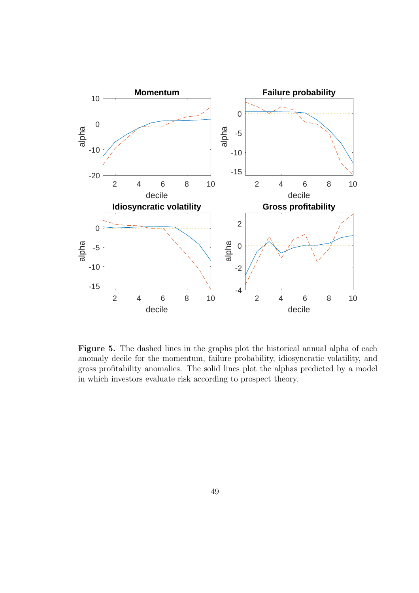

**Figure 5.** The dashed lines in the graphs plot the historical annual alpha of each anomaly decile for the momentum, failure probability, idiosyncratic volatility, and gross profitability anomalies. The solid lines plot the alphas predicted by a model in which investors evaluate risk according to prospect theory.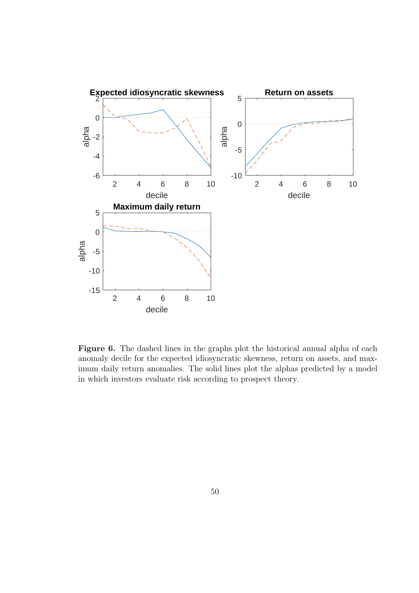

**Figure 6.** The dashed lines in the graphs plot the historical annual alpha of each anomaly decile for the expected idiosyncratic skewness, return on assets, and maximum daily return anomalies. The solid lines plot the alphas predicted by a model in which investors evaluate risk according to prospect theory.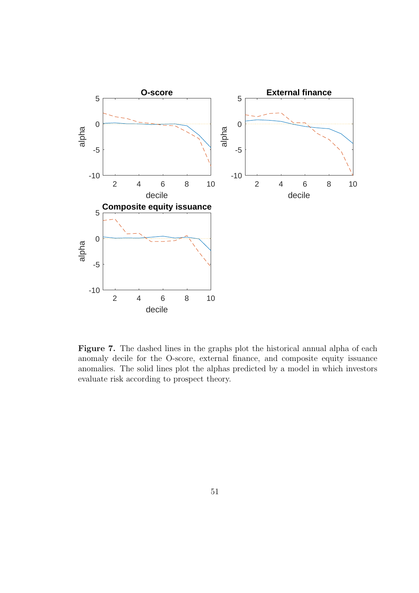

**Figure 7.** The dashed lines in the graphs plot the historical annual alpha of each anomaly decile for the O-score, external finance, and composite equity issuance anomalies. The solid lines plot the alphas predicted by a model in which investors evaluate risk according to prospect theory.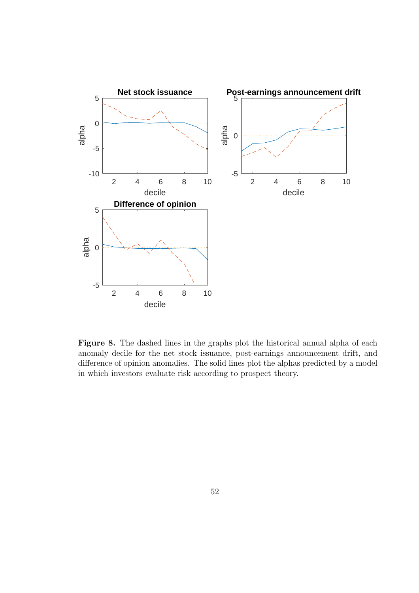

**Figure 8.** The dashed lines in the graphs plot the historical annual alpha of each anomaly decile for the net stock issuance, post-earnings announcement drift, and difference of opinion anomalies. The solid lines plot the alphas predicted by a model in which investors evaluate risk according to prospect theory.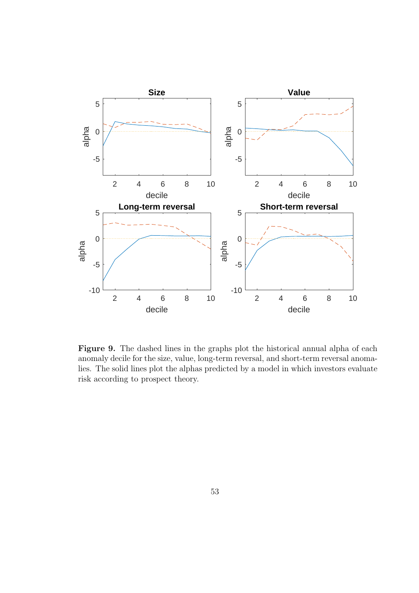

**Figure 9.** The dashed lines in the graphs plot the historical annual alpha of each anomaly decile for the size, value, long-term reversal, and short-term reversal anomalies. The solid lines plot the alphas predicted by a model in which investors evaluate risk according to prospect theory.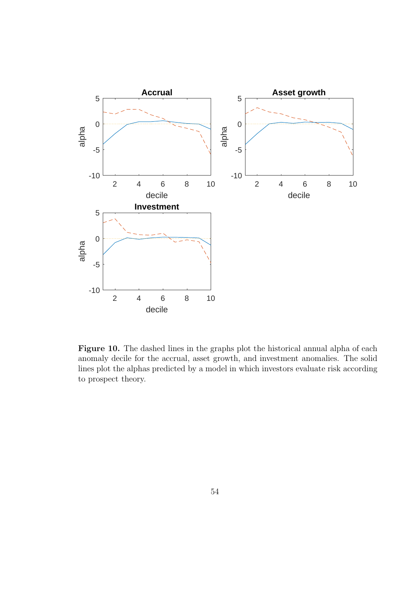

**Figure 10.** The dashed lines in the graphs plot the historical annual alpha of each anomaly decile for the accrual, asset growth, and investment anomalies. The solid lines plot the alphas predicted by a model in which investors evaluate risk according to prospect theory.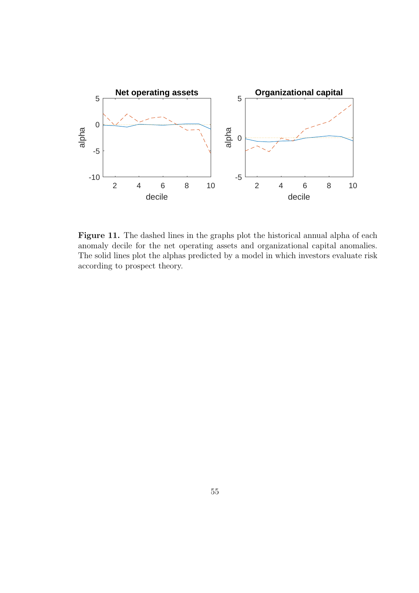

Figure 11. The dashed lines in the graphs plot the historical annual alpha of each anomaly decile for the net operating assets and organizational capital anomalies. The solid lines plot the alphas predicted by a model in which investors evaluate risk according to prospect theory.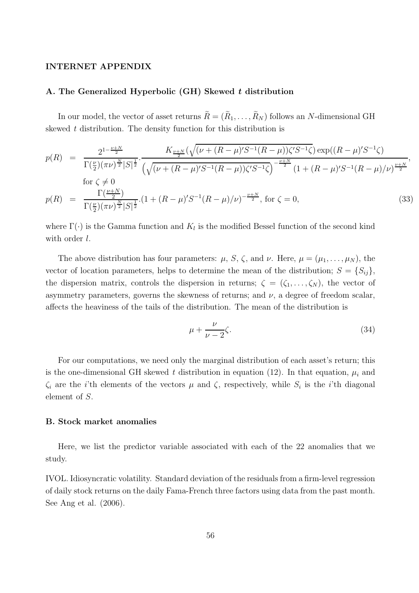#### **INTERNET APPENDIX**

#### **A. The Generalized Hyperbolic (GH) Skewed** *t* **distribution**

In our model, the vector of asset returns  $\tilde{R} = (\tilde{R}_1, \ldots, \tilde{R}_N)$  follows an N-dimensional GH skewed *t* distribution. The density function for this distribution is

$$
p(R) = \frac{2^{1-\frac{\nu+N}{2}}}{\Gamma(\frac{\nu}{2})(\pi\nu)^{\frac{N}{2}}|S|^{\frac{1}{2}}} \cdot \frac{K_{\frac{\nu+N}{2}}(\sqrt{(\nu+(R-\mu)S^{-1}(R-\mu))\zeta'S^{-1}\zeta}) \exp((R-\mu)S^{-1}\zeta)}{\left(\sqrt{(\nu+(R-\mu)S^{-1}(R-\mu))\zeta'S^{-1}\zeta}\right)^{-\frac{\nu+N}{2}}(1+(R-\mu)S^{-1}(R-\mu)/\nu)^{\frac{\nu+N}{2}}},
$$
  
for  $\zeta \neq 0$   

$$
p(R) = \frac{\Gamma(\frac{\nu+N}{2})}{\Gamma(\frac{\nu}{2})(\pi\nu)^{\frac{N}{2}}|S|^{\frac{1}{2}}} \cdot (1+(R-\mu)S^{-1}(R-\mu)/\nu)^{-\frac{\nu+N}{2}}, \text{ for } \zeta = 0,
$$
 (33)

where  $\Gamma(\cdot)$  is the Gamma function and  $K_l$  is the modified Bessel function of the second kind with order *l*.

The above distribution has four parameters:  $\mu$ , S,  $\zeta$ , and  $\nu$ . Here,  $\mu = (\mu_1, \ldots, \mu_N)$ , the vector of location parameters, helps to determine the mean of the distribution;  $S = \{S_{ij}\},$ the dispersion matrix, controls the dispersion in returns;  $\zeta = (\zeta_1, \ldots, \zeta_N)$ , the vector of asymmetry parameters, governs the skewness of returns; and  $\nu$ , a degree of freedom scalar, affects the heaviness of the tails of the distribution. The mean of the distribution is

$$
\mu + \frac{\nu}{\nu - 2}\zeta.
$$
\n(34)

For our computations, we need only the marginal distribution of each asset's return; this is the one-dimensional GH skewed *t* distribution in equation (12). In that equation,  $\mu_i$  and  $\zeta_i$  are the *i*'th elements of the vectors  $\mu$  and  $\zeta$ , respectively, while  $S_i$  is the *i*'th diagonal element of S.

#### **B. Stock market anomalies**

Here, we list the predictor variable associated with each of the 22 anomalies that we study.

IVOL. Idiosyncratic volatility. Standard deviation of the residuals from a firm-level regression of daily stock returns on the daily Fama-French three factors using data from the past month. See Ang et al. (2006).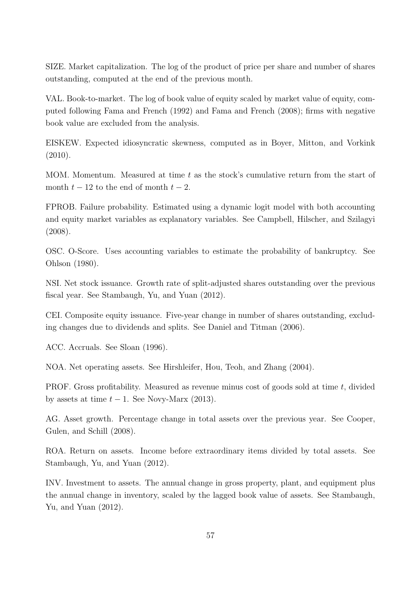SIZE. Market capitalization. The log of the product of price per share and number of shares outstanding, computed at the end of the previous month.

VAL. Book-to-market. The log of book value of equity scaled by market value of equity, computed following Fama and French (1992) and Fama and French (2008); firms with negative book value are excluded from the analysis.

EISKEW. Expected idiosyncratic skewness, computed as in Boyer, Mitton, and Vorkink (2010).

MOM. Momentum. Measured at time  $t$  as the stock's cumulative return from the start of month  $t - 12$  to the end of month  $t - 2$ .

FPROB. Failure probability. Estimated using a dynamic logit model with both accounting and equity market variables as explanatory variables. See Campbell, Hilscher, and Szilagyi (2008).

OSC. O-Score. Uses accounting variables to estimate the probability of bankruptcy. See Ohlson (1980).

NSI. Net stock issuance. Growth rate of split-adjusted shares outstanding over the previous fiscal year. See Stambaugh, Yu, and Yuan (2012).

CEI. Composite equity issuance. Five-year change in number of shares outstanding, excluding changes due to dividends and splits. See Daniel and Titman (2006).

ACC. Accruals. See Sloan (1996).

NOA. Net operating assets. See Hirshleifer, Hou, Teoh, and Zhang (2004).

PROF. Gross profitability. Measured as revenue minus cost of goods sold at time t, divided by assets at time  $t - 1$ . See Novy-Marx (2013).

AG. Asset growth. Percentage change in total assets over the previous year. See Cooper, Gulen, and Schill (2008).

ROA. Return on assets. Income before extraordinary items divided by total assets. See Stambaugh, Yu, and Yuan (2012).

INV. Investment to assets. The annual change in gross property, plant, and equipment plus the annual change in inventory, scaled by the lagged book value of assets. See Stambaugh, Yu, and Yuan (2012).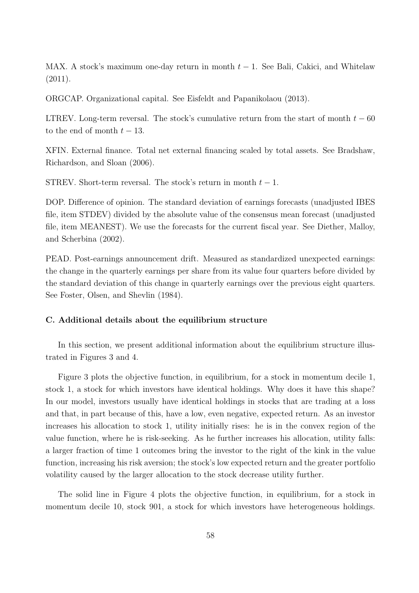MAX. A stock's maximum one-day return in month  $t-1$ . See Bali, Cakici, and Whitelaw (2011).

ORGCAP. Organizational capital. See Eisfeldt and Papanikolaou (2013).

LTREV. Long-term reversal. The stock's cumulative return from the start of month  $t - 60$ to the end of month  $t-13$ .

XFIN. External finance. Total net external financing scaled by total assets. See Bradshaw, Richardson, and Sloan (2006).

STREV. Short-term reversal. The stock's return in month  $t - 1$ .

DOP. Difference of opinion. The standard deviation of earnings forecasts (unadjusted IBES file, item STDEV) divided by the absolute value of the consensus mean forecast (unadjusted file, item MEANEST). We use the forecasts for the current fiscal year. See Diether, Malloy, and Scherbina (2002).

PEAD. Post-earnings announcement drift. Measured as standardized unexpected earnings: the change in the quarterly earnings per share from its value four quarters before divided by the standard deviation of this change in quarterly earnings over the previous eight quarters. See Foster, Olsen, and Shevlin (1984).

#### **C. Additional details about the equilibrium structure**

In this section, we present additional information about the equilibrium structure illustrated in Figures 3 and 4.

Figure 3 plots the objective function, in equilibrium, for a stock in momentum decile 1, stock 1, a stock for which investors have identical holdings. Why does it have this shape? In our model, investors usually have identical holdings in stocks that are trading at a loss and that, in part because of this, have a low, even negative, expected return. As an investor increases his allocation to stock 1, utility initially rises: he is in the convex region of the value function, where he is risk-seeking. As he further increases his allocation, utility falls: a larger fraction of time 1 outcomes bring the investor to the right of the kink in the value function, increasing his risk aversion; the stock's low expected return and the greater portfolio volatility caused by the larger allocation to the stock decrease utility further.

The solid line in Figure 4 plots the objective function, in equilibrium, for a stock in momentum decile 10, stock 901, a stock for which investors have heterogeneous holdings.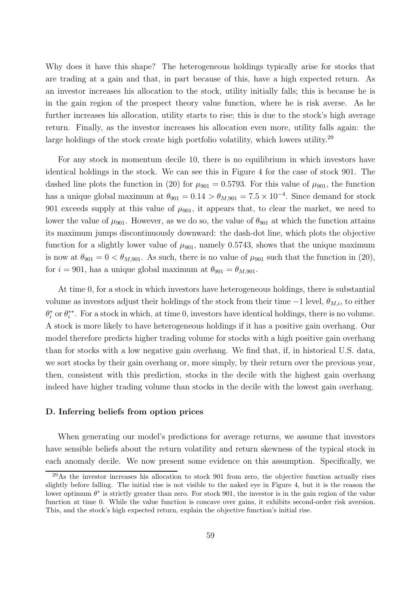Why does it have this shape? The heterogeneous holdings typically arise for stocks that are trading at a gain and that, in part because of this, have a high expected return. As an investor increases his allocation to the stock, utility initially falls; this is because he is in the gain region of the prospect theory value function, where he is risk averse. As he further increases his allocation, utility starts to rise; this is due to the stock's high average return. Finally, as the investor increases his allocation even more, utility falls again: the large holdings of the stock create high portfolio volatility, which lowers utility.<sup>29</sup>

For any stock in momentum decile 10, there is no equilibrium in which investors have identical holdings in the stock. We can see this in Figure 4 for the case of stock 901. The dashed line plots the function in (20) for  $\mu_{901} = 0.5793$ . For this value of  $\mu_{901}$ , the function has a unique global maximum at  $\theta_{901} = 0.14 > \theta_{M,901} = 7.5 \times 10^{-4}$ . Since demand for stock 901 exceeds supply at this value of  $\mu_{901}$ , it appears that, to clear the market, we need to lower the value of  $\mu_{901}$ . However, as we do so, the value of  $\theta_{901}$  at which the function attains its maximum jumps discontinuously downward: the dash-dot line, which plots the objective function for a slightly lower value of  $\mu_{901}$ , namely 0.5743, shows that the unique maximum is now at  $\theta_{901} = 0 < \theta_{M,901}$ . As such, there is no value of  $\mu_{901}$  such that the function in (20), for  $i = 901$ , has a unique global maximum at  $\theta_{901} = \theta_{M,901}$ .

At time 0, for a stock in which investors have heterogeneous holdings, there is substantial volume as investors adjust their holdings of the stock from their time  $-1$  level,  $\theta_{M,i}$ , to either  $\theta_i^*$  or  $\theta_i^{**}$ . For a stock in which, at time 0, investors have identical holdings, there is no volume. A stock is more likely to have heterogeneous holdings if it has a positive gain overhang. Our model therefore predicts higher trading volume for stocks with a high positive gain overhang than for stocks with a low negative gain overhang. We find that, if, in historical U.S. data, we sort stocks by their gain overhang or, more simply, by their return over the previous year, then, consistent with this prediction, stocks in the decile with the highest gain overhang indeed have higher trading volume than stocks in the decile with the lowest gain overhang.

#### **D. Inferring beliefs from option prices**

When generating our model's predictions for average returns, we assume that investors have sensible beliefs about the return volatility and return skewness of the typical stock in each anomaly decile. We now present some evidence on this assumption. Specifically, we

<sup>29</sup>As the investor increases his allocation to stock 901 from zero, the objective function actually rises slightly before falling. The initial rise is not visible to the naked eye in Figure 4, but it is the reason the lower optimum <sup>θ</sup><sup>∗</sup> is strictly greater than zero. For stock 901, the investor is in the gain region of the value function at time 0. While the value function is concave over gains, it exhibits second-order risk aversion. This, and the stock's high expected return, explain the objective function's initial rise.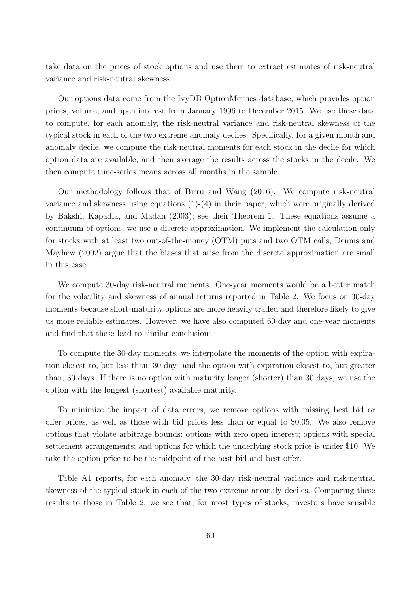take data on the prices of stock options and use them to extract estimates of risk-neutral variance and risk-neutral skewness.

Our options data come from the IvyDB OptionMetrics database, which provides option prices, volume, and open interest from January 1996 to December 2015. We use these data to compute, for each anomaly, the risk-neutral variance and risk-neutral skewness of the typical stock in each of the two extreme anomaly deciles. Specifically, for a given month and anomaly decile, we compute the risk-neutral moments for each stock in the decile for which option data are available, and then average the results across the stocks in the decile. We then compute time-series means across all months in the sample.

Our methodology follows that of Birru and Wang (2016). We compute risk-neutral variance and skewness using equations (1)-(4) in their paper, which were originally derived by Bakshi, Kapadia, and Madan (2003); see their Theorem 1. These equations assume a continuum of options; we use a discrete approximation. We implement the calculation only for stocks with at least two out-of-the-money (OTM) puts and two OTM calls; Dennis and Mayhew (2002) argue that the biases that arise from the discrete approximation are small in this case.

We compute 30-day risk-neutral moments. One-year moments would be a better match for the volatility and skewness of annual returns reported in Table 2. We focus on 30-day moments because short-maturity options are more heavily traded and therefore likely to give us more reliable estimates. However, we have also computed 60-day and one-year moments and find that these lead to similar conclusions.

To compute the 30-day moments, we interpolate the moments of the option with expiration closest to, but less than, 30 days and the option with expiration closest to, but greater than, 30 days. If there is no option with maturity longer (shorter) than 30 days, we use the option with the longest (shortest) available maturity.

To minimize the impact of data errors, we remove options with missing best bid or offer prices, as well as those with bid prices less than or equal to \$0.05. We also remove options that violate arbitrage bounds; options with zero open interest; options with special settlement arrangements; and options for which the underlying stock price is under \$10. We take the option price to be the midpoint of the best bid and best offer.

Table A1 reports, for each anomaly, the 30-day risk-neutral variance and risk-neutral skewness of the typical stock in each of the two extreme anomaly deciles. Comparing these results to those in Table 2, we see that, for most types of stocks, investors have sensible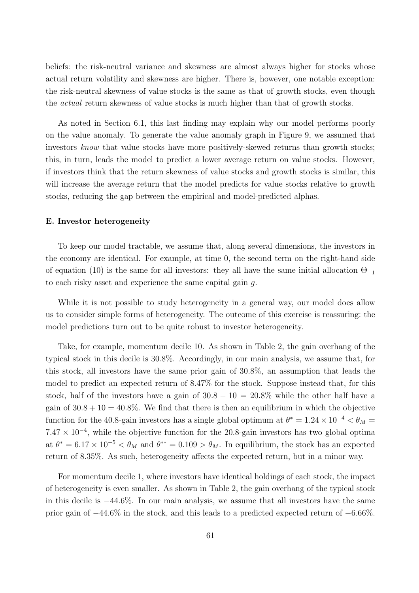beliefs: the risk-neutral variance and skewness are almost always higher for stocks whose actual return volatility and skewness are higher. There is, however, one notable exception: the risk-neutral skewness of value stocks is the same as that of growth stocks, even though the *actual* return skewness of value stocks is much higher than that of growth stocks.

As noted in Section 6.1, this last finding may explain why our model performs poorly on the value anomaly. To generate the value anomaly graph in Figure 9, we assumed that investors *know* that value stocks have more positively-skewed returns than growth stocks; this, in turn, leads the model to predict a lower average return on value stocks. However, if investors think that the return skewness of value stocks and growth stocks is similar, this will increase the average return that the model predicts for value stocks relative to growth stocks, reducing the gap between the empirical and model-predicted alphas.

#### **E. Investor heterogeneity**

To keep our model tractable, we assume that, along several dimensions, the investors in the economy are identical. For example, at time 0, the second term on the right-hand side of equation (10) is the same for all investors: they all have the same initial allocation  $\Theta_{-1}$ to each risky asset and experience the same capital gain g.

While it is not possible to study heterogeneity in a general way, our model does allow us to consider simple forms of heterogeneity. The outcome of this exercise is reassuring: the model predictions turn out to be quite robust to investor heterogeneity.

Take, for example, momentum decile 10. As shown in Table 2, the gain overhang of the typical stock in this decile is 30.8%. Accordingly, in our main analysis, we assume that, for this stock, all investors have the same prior gain of 30.8%, an assumption that leads the model to predict an expected return of 8.47% for the stock. Suppose instead that, for this stock, half of the investors have a gain of  $30.8 - 10 = 20.8\%$  while the other half have a gain of  $30.8 + 10 = 40.8\%$ . We find that there is then an equilibrium in which the objective function for the 40.8-gain investors has a single global optimum at  $\theta^* = 1.24 \times 10^{-4} < \theta_M$  $7.47 \times 10^{-4}$ , while the objective function for the 20.8-gain investors has two global optima at  $\theta^* = 6.17 \times 10^{-5} < \theta_M$  and  $\theta^{**} = 0.109 > \theta_M$ . In equilibrium, the stock has an expected return of 8.35%. As such, heterogeneity affects the expected return, but in a minor way.

For momentum decile 1, where investors have identical holdings of each stock, the impact of heterogeneity is even smaller. As shown in Table 2, the gain overhang of the typical stock in this decile is −44.6%. In our main analysis, we assume that all investors have the same prior gain of −44.6% in the stock, and this leads to a predicted expected return of −6.66%.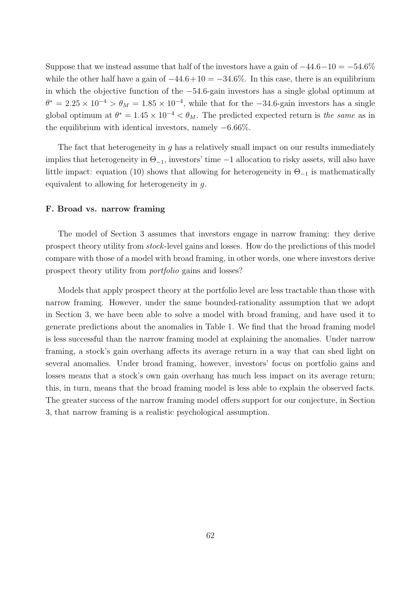Suppose that we instead assume that half of the investors have a gain of  $-44.6-10 = -54.6\%$ while the other half have a gain of  $-44.6+10 = -34.6\%$ . In this case, there is an equilibrium in which the objective function of the −54.6-gain investors has a single global optimum at  $\theta^* = 2.25 \times 10^{-4} > \theta_M = 1.85 \times 10^{-4}$ , while that for the -34.6-gain investors has a single global optimum at  $\theta^* = 1.45 \times 10^{-4} < \theta_M$ . The predicted expected return is *the same* as in the equilibrium with identical investors, namely −6.66%.

The fact that heterogeneity in  $g$  has a relatively small impact on our results immediately implies that heterogeneity in  $\Theta_{-1}$ , investors' time  $-1$  allocation to risky assets, will also have little impact: equation (10) shows that allowing for heterogeneity in  $\Theta_{-1}$  is mathematically equivalent to allowing for heterogeneity in  $q$ .

#### **F. Broad vs. narrow framing**

The model of Section 3 assumes that investors engage in narrow framing: they derive prospect theory utility from *stock*-level gains and losses. How do the predictions of this model compare with those of a model with broad framing, in other words, one where investors derive prospect theory utility from *portfolio* gains and losses?

Models that apply prospect theory at the portfolio level are less tractable than those with narrow framing. However, under the same bounded-rationality assumption that we adopt in Section 3, we have been able to solve a model with broad framing, and have used it to generate predictions about the anomalies in Table 1. We find that the broad framing model is less successful than the narrow framing model at explaining the anomalies. Under narrow framing, a stock's gain overhang affects its average return in a way that can shed light on several anomalies. Under broad framing, however, investors' focus on portfolio gains and losses means that a stock's own gain overhang has much less impact on its average return; this, in turn, means that the broad framing model is less able to explain the observed facts. The greater success of the narrow framing model offers support for our conjecture, in Section 3, that narrow framing is a realistic psychological assumption.